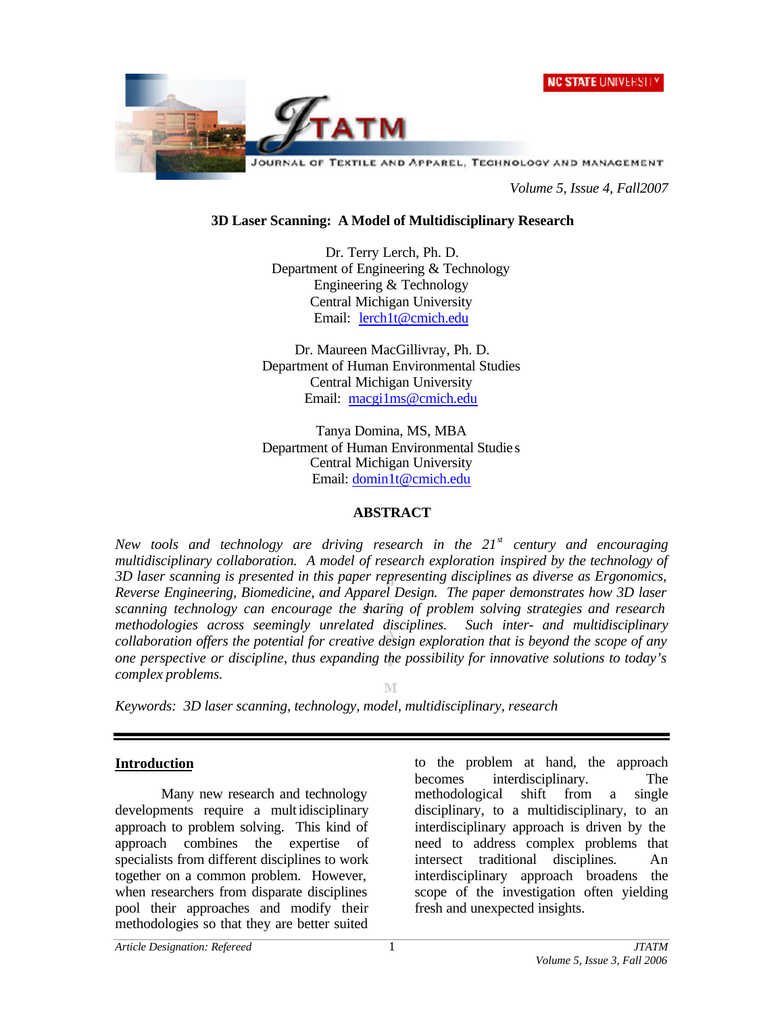



*Volume 5, Issue 4, Fall2007*

#### **3D Laser Scanning: A Model of Multidisciplinary Research**

Dr. Terry Lerch, Ph. D. Department of Engineering & Technology Engineering & Technology Central Michigan University Email: lerch1t@cmich.edu

Dr. Maureen MacGillivray, Ph. D. Department of Human Environmental Studies Central Michigan University Email: macgi1ms@cmich.edu

Tanya Domina, MS, MBA Department of Human Environmental Studie s Central Michigan University Email: domin1t@cmich.edu

#### **ABSTRACT**

*New tools and technology are driving research in the 21st century and encouraging multidisciplinary collaboration. A model of research exploration inspired by the technology of 3D laser scanning is presented in this paper representing disciplines as diverse as Ergonomics, Reverse Engineering, Biomedicine, and Apparel Design. The paper demonstrates how 3D laser scanning technology can encourage the sharing of problem solving strategies and research methodologies across seemingly unrelated disciplines. Such inter- and multidisciplinary collaboration offers the potential for creative design exploration that is beyond the scope of any one perspective or discipline, thus expanding the possibility for innovative solutions to today's complex problems.* 

M

*Keywords: 3D laser scanning, technology, model, multidisciplinary, research*

## **Introduction**

Many new research and technology developments require a multidisciplinary approach to problem solving. This kind of approach combines the expertise of specialists from different disciplines to work together on a common problem. However, when researchers from disparate disciplines pool their approaches and modify their methodologies so that they are better suited

to the problem at hand, the approach becomes interdisciplinary. The methodological shift from a single disciplinary, to a multidisciplinary, to an interdisciplinary approach is driven by the need to address complex problems that intersect traditional disciplines*.* An interdisciplinary approach broadens the scope of the investigation often yielding fresh and unexpected insights.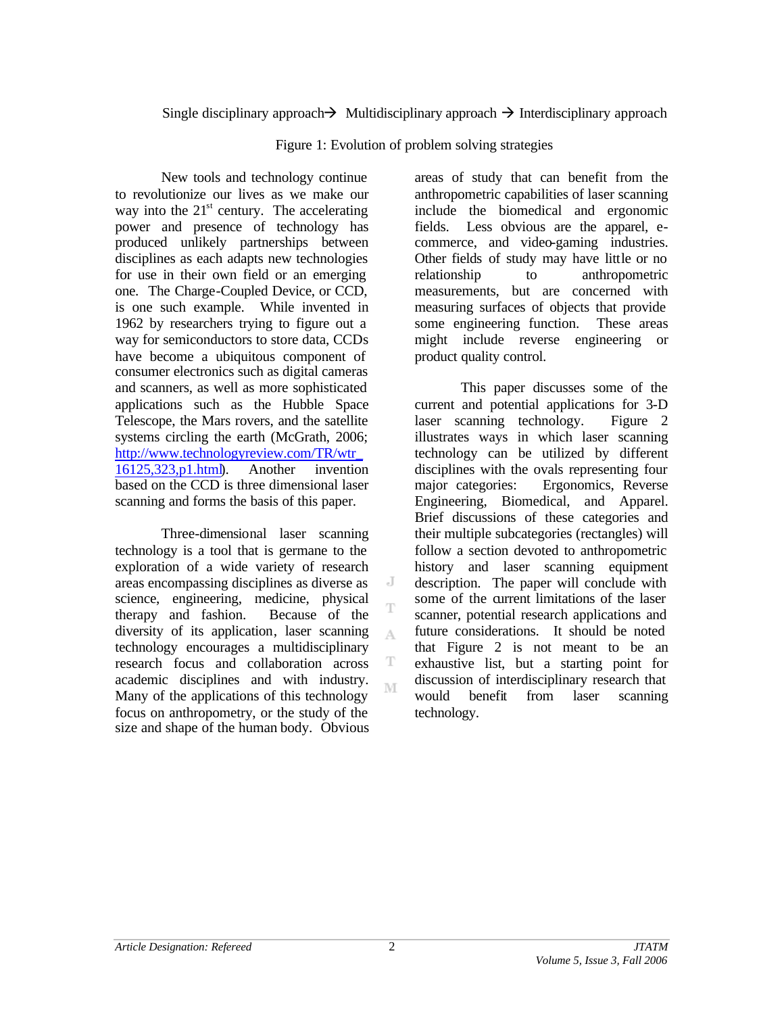## Single disciplinary approach  $\rightarrow$  Multidisciplinary approach  $\rightarrow$  Interdisciplinary approach

Figure 1: Evolution of problem solving strategies

New tools and technology continue to revolutionize our lives as we make our way into the  $21<sup>st</sup>$  century. The accelerating power and presence of technology has produced unlikely partnerships between disciplines as each adapts new technologies for use in their own field or an emerging one. The Charge-Coupled Device, or CCD, is one such example. While invented in 1962 by researchers trying to figure out a way for semiconductors to store data, CCDs have become a ubiquitous component of consumer electronics such as digital cameras and scanners, as well as more sophisticated applications such as the Hubble Space Telescope, the Mars rovers, and the satellite systems circling the earth (McGrath, 2006; http://www.technologyreview.com/TR/wtr\_ 16125,323,p1.html). Another invention based on the CCD is three dimensional laser scanning and forms the basis of this paper.

Three-dimensional laser scanning technology is a tool that is germane to the exploration of a wide variety of research areas encompassing disciplines as diverse as science, engineering, medicine, physical therapy and fashion. Because of the diversity of its application, laser scanning technology encourages a multidisciplinary research focus and collaboration across academic disciplines and with industry. Many of the applications of this technology focus on anthropometry, or the study of the size and shape of the human body. Obvious

areas of study that can benefit from the anthropometric capabilities of laser scanning include the biomedical and ergonomic fields. Less obvious are the apparel, ecommerce, and video-gaming industries. Other fields of study may have little or no relationship to anthropometric measurements, but are concerned with measuring surfaces of objects that provide some engineering function. These areas might include reverse engineering or product quality control.

This paper discusses some of the current and potential applications for 3-D laser scanning technology. Figure 2 illustrates ways in which laser scanning technology can be utilized by different disciplines with the ovals representing four major categories: Ergonomics, Reverse Engineering, Biomedical, and Apparel. Brief discussions of these categories and their multiple subcategories (rectangles) will follow a section devoted to anthropometric history and laser scanning equipment description. The paper will conclude with some of the current limitations of the laser scanner, potential research applications and future considerations. It should be noted that Figure 2 is not meant to be an exhaustive list, but a starting point for discussion of interdisciplinary research that would benefit from laser scanning technology.

2

J T

A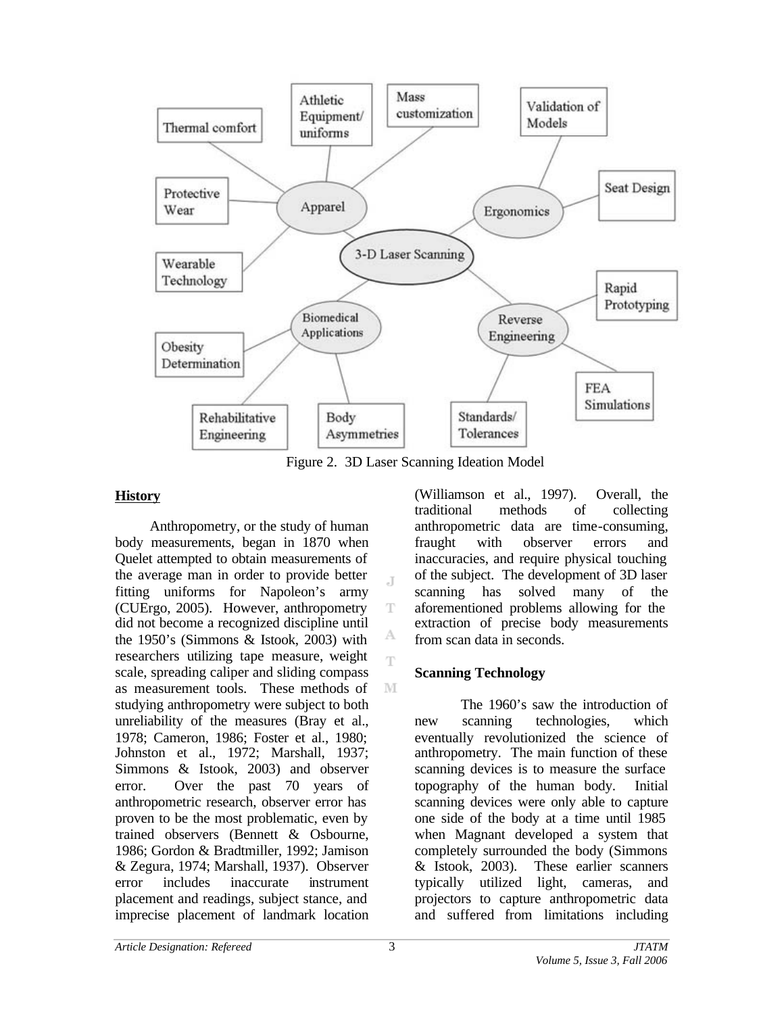

Figure 2. 3D Laser Scanning Ideation Model

J.

T

А Ŧ

M

## **History**

Anthropometry, or the study of human body measurements, began in 1870 when Quelet attempted to obtain measurements of the average man in order to provide better fitting uniforms for Napoleon's army (CUErgo, 2005). However, anthropometry did not become a recognized discipline until the 1950's (Simmons & Istook, 2003) with researchers utilizing tape measure, weight scale, spreading caliper and sliding compass as measurement tools. These methods of studying anthropometry were subject to both unreliability of the measures (Bray et al., 1978; Cameron, 1986; Foster et al., 1980; Johnston et al., 1972; Marshall, 1937; Simmons & Istook, 2003) and observer error. Over the past 70 years of anthropometric research, observer error has proven to be the most problematic, even by trained observers (Bennett & Osbourne, 1986; Gordon & Bradtmiller, 1992; Jamison & Zegura, 1974; Marshall, 1937). Observer error includes inaccurate instrument placement and readings, subject stance, and imprecise placement of landmark location

(Williamson et al., 1997). Overall, the traditional methods of collecting anthropometric data are time-consuming, fraught with observer errors and inaccuracies, and require physical touching of the subject. The development of 3D laser scanning has solved many of the aforementioned problems allowing for the extraction of precise body measurements from scan data in seconds.

# **Scanning Technology**

The 1960's saw the introduction of new scanning technologies, which eventually revolutionized the science of anthropometry. The main function of these scanning devices is to measure the surface topography of the human body. Initial scanning devices were only able to capture one side of the body at a time until 1985 when Magnant developed a system that completely surrounded the body (Simmons & Istook, 2003). These earlier scanners typically utilized light, cameras, and projectors to capture anthropometric data and suffered from limitations including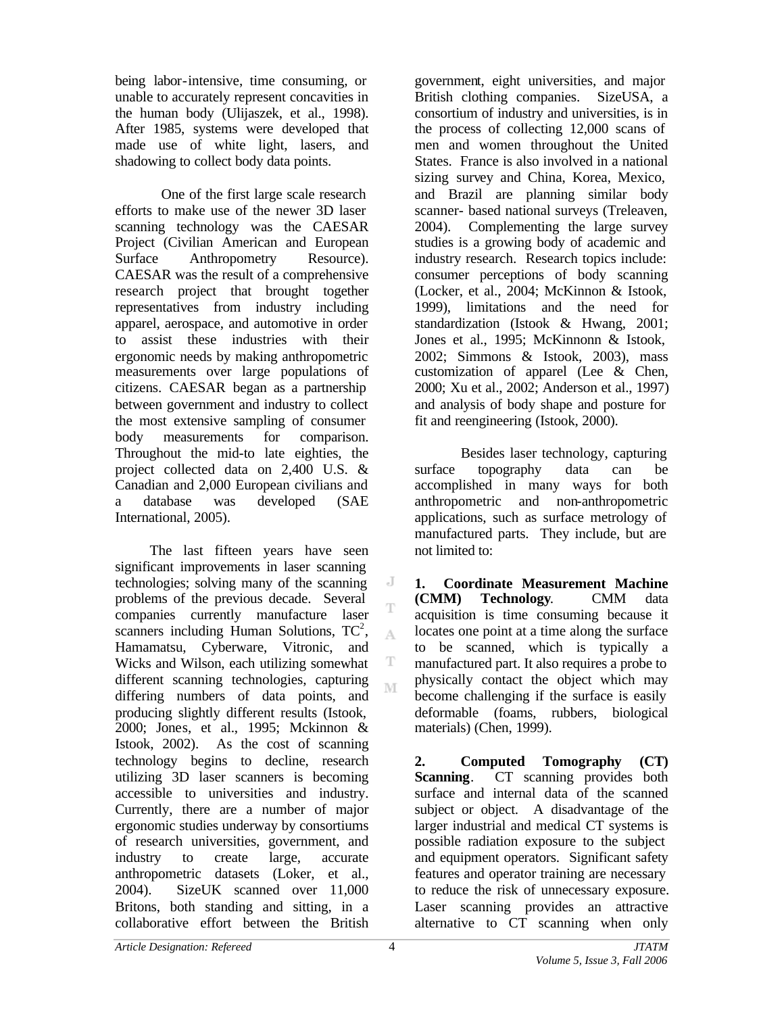being labor-intensive, time consuming, or unable to accurately represent concavities in the human body (Ulijaszek, et al., 1998). After 1985, systems were developed that made use of white light, lasers, and shadowing to collect body data points.

One of the first large scale research efforts to make use of the newer 3D laser scanning technology was the CAESAR Project (Civilian American and European Surface Anthropometry Resource). CAESAR was the result of a comprehensive research project that brought together representatives from industry including apparel, aerospace, and automotive in order to assist these industries with their ergonomic needs by making anthropometric measurements over large populations of citizens. CAESAR began as a partnership between government and industry to collect the most extensive sampling of consumer body measurements for comparison. Throughout the mid-to late eighties, the project collected data on 2,400 U.S. & Canadian and 2,000 European civilians and a database was developed (SAE International, 2005).

The last fifteen years have seen significant improvements in laser scanning technologies; solving many of the scanning problems of the previous decade. Several companies currently manufacture laser scanners including Human Solutions,  $TC^2$ , Hamamatsu, Cyberware, Vitronic, and Wicks and Wilson, each utilizing somewhat different scanning technologies, capturing differing numbers of data points, and producing slightly different results (Istook, 2000; Jones, et al., 1995; Mckinnon & Istook, 2002). As the cost of scanning technology begins to decline, research utilizing 3D laser scanners is becoming accessible to universities and industry. Currently, there are a number of major ergonomic studies underway by consortiums of research universities, government, and industry to create large, accurate anthropometric datasets (Loker, et al., 2004). SizeUK scanned over 11,000 Britons, both standing and sitting, in a collaborative effort between the British

government, eight universities, and major British clothing companies. SizeUSA, a consortium of industry and universities, is in the process of collecting 12,000 scans of men and women throughout the United States. France is also involved in a national sizing survey and China, Korea, Mexico, and Brazil are planning similar body scanner- based national surveys (Treleaven, 2004). Complementing the large survey studies is a growing body of academic and industry research. Research topics include: consumer perceptions of body scanning (Locker, et al., 2004; McKinnon & Istook, 1999), limitations and the need for standardization (Istook & Hwang, 2001; Jones et al., 1995; McKinnonn & Istook, 2002; Simmons & Istook, 2003), mass customization of apparel (Lee & Chen, 2000; Xu et al., 2002; Anderson et al., 1997) and analysis of body shape and posture for fit and reengineering (Istook, 2000).

Besides laser technology, capturing surface topography data can be accomplished in many ways for both anthropometric and non-anthropometric applications, such as surface metrology of manufactured parts. They include, but are not limited to:

**1. Coordinate Measurement Machine (CMM) Technology**. CMM data acquisition is time consuming because it locates one point at a time along the surface to be scanned, which is typically a manufactured part. It also requires a probe to physically contact the object which may become challenging if the surface is easily deformable (foams, rubbers, biological materials) (Chen, 1999).

**2. Computed Tomography (CT) Scanning**. CT scanning provides both surface and internal data of the scanned subject or object. A disadvantage of the larger industrial and medical CT systems is possible radiation exposure to the subject and equipment operators. Significant safety features and operator training are necessary to reduce the risk of unnecessary exposure. Laser scanning provides an attractive alternative to CT scanning when only

 $\overline{a}$ T

A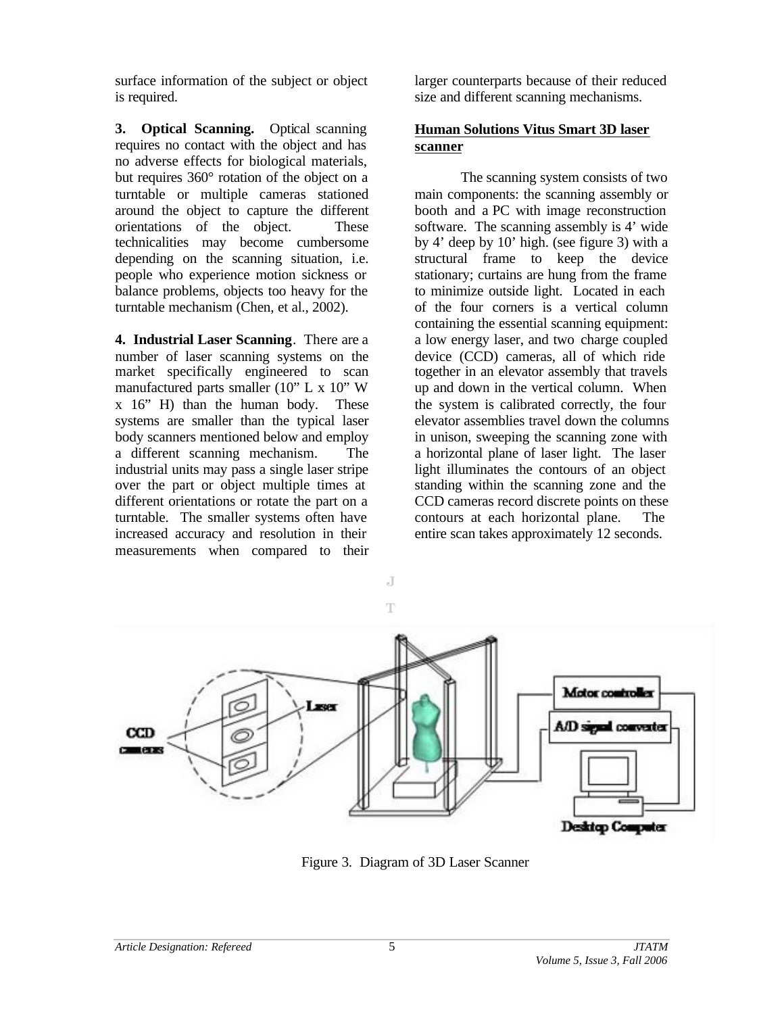surface information of the subject or object is required.

**3. Optical Scanning.** Optical scanning requires no contact with the object and has no adverse effects for biological materials, but requires 360° rotation of the object on a turntable or multiple cameras stationed around the object to capture the different orientations of the object. These technicalities may become cumbersome depending on the scanning situation, i.e. people who experience motion sickness or balance problems, objects too heavy for the turntable mechanism (Chen, et al., 2002).

**4. Industrial Laser Scanning**. There are a number of laser scanning systems on the market specifically engineered to scan manufactured parts smaller (10" L x 10" W x 16" H) than the human body. These systems are smaller than the typical laser body scanners mentioned below and employ a different scanning mechanism. The industrial units may pass a single laser stripe over the part or object multiple times at different orientations or rotate the part on a turntable. The smaller systems often have increased accuracy and resolution in their measurements when compared to their

larger counterparts because of their reduced size and different scanning mechanisms.

## **Human Solutions Vitus Smart 3D laser scanner**

The scanning system consists of two main components: the scanning assembly or booth and a PC with image reconstruction software. The scanning assembly is 4' wide by 4' deep by 10' high. (see figure 3) with a structural frame to keep the device stationary; curtains are hung from the frame to minimize outside light. Located in each of the four corners is a vertical column containing the essential scanning equipment: a low energy laser, and two charge coupled device (CCD) cameras, all of which ride together in an elevator assembly that travels up and down in the vertical column. When the system is calibrated correctly, the four elevator assemblies travel down the columns in unison, sweeping the scanning zone with a horizontal plane of laser light. The laser light illuminates the contours of an object standing within the scanning zone and the CCD cameras record discrete points on these contours at each horizontal plane. The entire scan takes approximately 12 seconds.



Figure 3. Diagram of 3D Laser Scanner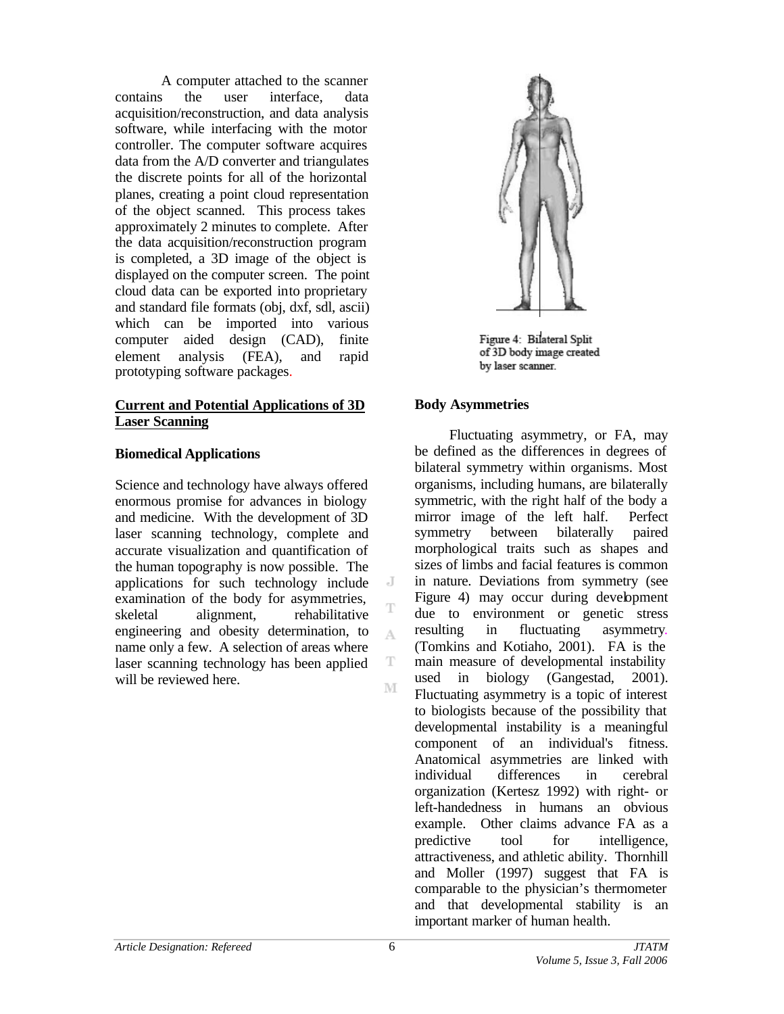A computer attached to the scanner contains the user interface, data acquisition/reconstruction, and data analysis software, while interfacing with the motor controller. The computer software acquires data from the A/D converter and triangulates the discrete points for all of the horizontal planes, creating a point cloud representation of the object scanned. This process takes approximately 2 minutes to complete. After the data acquisition/reconstruction program is completed, a 3D image of the object is displayed on the computer screen. The point cloud data can be exported into proprietary and standard file formats (obj, dxf, sdl, ascii) which can be imported into various computer aided design (CAD), finite element analysis (FEA), and rapid prototyping software packages.

## **Current and Potential Applications of 3D Laser Scanning**

## **Biomedical Applications**

Science and technology have always offered enormous promise for advances in biology and medicine. With the development of 3D laser scanning technology, complete and accurate visualization and quantification of the human topography is now possible. The applications for such technology include examination of the body for asymmetries, skeletal alignment, rehabilitative engineering and obesity determination, to name only a few. A selection of areas where laser scanning technology has been applied will be reviewed here.



Figure 4: Bilateral Split of 3D body image created by laser scanner.

#### **Body Asymmetries**

Fluctuating asymmetry, or FA, may be defined as the differences in degrees of bilateral symmetry within organisms. Most organisms, including humans, are bilaterally symmetric, with the right half of the body a mirror image of the left half. Perfect symmetry between bilaterally paired morphological traits such as shapes and sizes of limbs and facial features is common in nature. Deviations from symmetry (see Figure 4) may occur during development due to environment or genetic stress resulting in fluctuating asymmetry. (Tomkins and Kotiaho, 2001). FA is the main measure of developmental instability used in biology (Gangestad, 2001). Fluctuating asymmetry is a topic of interest to biologists because of the possibility that developmental instability is a meaningful component of an individual's fitness. Anatomical asymmetries are linked with individual differences in cerebral organization (Kertesz 1992) with right- or left-handedness in humans an obvious example. Other claims advance FA as a predictive tool for intelligence, attractiveness, and athletic ability. Thornhill and Moller (1997) suggest that FA is comparable to the physician's thermometer and that developmental stability is an important marker of human health.

 $\overline{A}$ 

A

T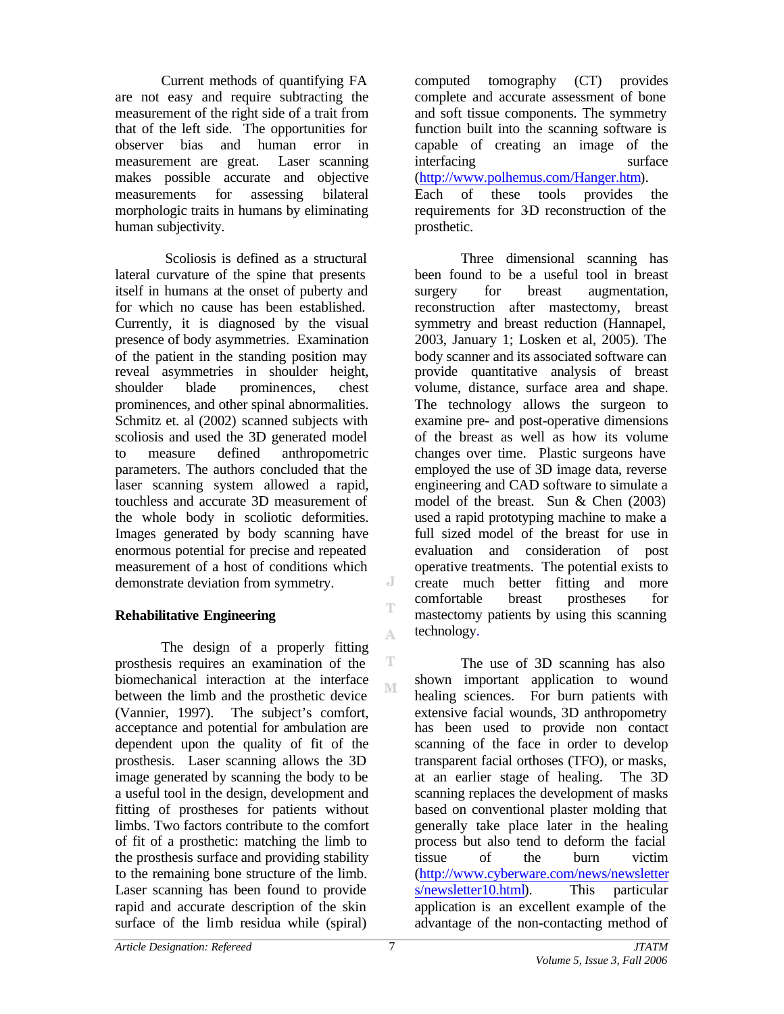Current methods of quantifying FA are not easy and require subtracting the measurement of the right side of a trait from that of the left side. The opportunities for observer bias and human error in measurement are great. Laser scanning makes possible accurate and objective measurements for assessing bilateral morphologic traits in humans by eliminating human subjectivity.

Scoliosis is defined as a structural lateral curvature of the spine that presents itself in humans at the onset of puberty and for which no cause has been established. Currently, it is diagnosed by the visual presence of body asymmetries. Examination of the patient in the standing position may reveal asymmetries in shoulder height, shoulder blade prominences, chest prominences, and other spinal abnormalities. Schmitz et. al (2002) scanned subjects with scoliosis and used the 3D generated model to measure defined anthropometric parameters. The authors concluded that the laser scanning system allowed a rapid, touchless and accurate 3D measurement of the whole body in scoliotic deformities. Images generated by body scanning have enormous potential for precise and repeated measurement of a host of conditions which demonstrate deviation from symmetry.

## **Rehabilitative Engineering**

The design of a properly fitting prosthesis requires an examination of the biomechanical interaction at the interface between the limb and the prosthetic device (Vannier, 1997). The subject's comfort, acceptance and potential for ambulation are dependent upon the quality of fit of the prosthesis. Laser scanning allows the 3D image generated by scanning the body to be a useful tool in the design, development and fitting of prostheses for patients without limbs. Two factors contribute to the comfort of fit of a prosthetic: matching the limb to the prosthesis surface and providing stability to the remaining bone structure of the limb. Laser scanning has been found to provide rapid and accurate description of the skin surface of the limb residua while (spiral)

computed tomography (CT) provides complete and accurate assessment of bone and soft tissue components. The symmetry function built into the scanning software is capable of creating an image of the interfacing surface (http://www.polhemus.com/Hanger.htm). Each of these tools provides the requirements for 3D reconstruction of the prosthetic.

Three dimensional scanning has been found to be a useful tool in breast surgery for breast augmentation, reconstruction after mastectomy, breast symmetry and breast reduction (Hannapel, 2003, January 1; Losken et al, 2005). The body scanner and its associated software can provide quantitative analysis of breast volume, distance, surface area and shape. The technology allows the surgeon to examine pre- and post-operative dimensions of the breast as well as how its volume changes over time. Plastic surgeons have employed the use of 3D image data, reverse engineering and CAD software to simulate a model of the breast. Sun & Chen (2003) used a rapid prototyping machine to make a full sized model of the breast for use in evaluation and consideration of post operative treatments. The potential exists to create much better fitting and more comfortable breast prostheses for mastectomy patients by using this scanning technology.

The use of 3D scanning has also shown important application to wound healing sciences. For burn patients with extensive facial wounds, 3D anthropometry has been used to provide non contact scanning of the face in order to develop transparent facial orthoses (TFO), or masks, at an earlier stage of healing. The 3D scanning replaces the development of masks based on conventional plaster molding that generally take place later in the healing process but also tend to deform the facial tissue of the burn victim (http://www.cyberware.com/news/newsletter s/newsletter10.html). This particular application is an excellent example of the advantage of the non-contacting method of

J T

A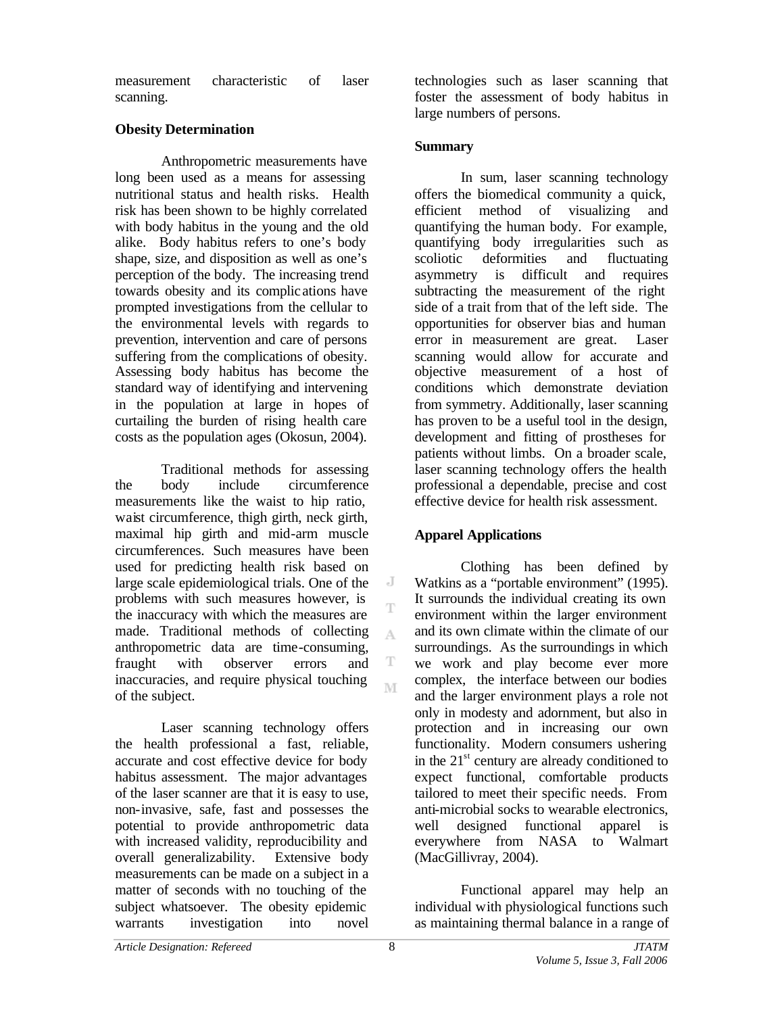measurement characteristic of laser scanning.

## **Obesity Determination**

Anthropometric measurements have long been used as a means for assessing nutritional status and health risks. Health risk has been shown to be highly correlated with body habitus in the young and the old alike. Body habitus refers to one's body shape, size, and disposition as well as one's perception of the body. The increasing trend towards obesity and its complic ations have prompted investigations from the cellular to the environmental levels with regards to prevention, intervention and care of persons suffering from the complications of obesity. Assessing body habitus has become the standard way of identifying and intervening in the population at large in hopes of curtailing the burden of rising health care costs as the population ages (Okosun, 2004).

Traditional methods for assessing the body include circumference measurements like the waist to hip ratio, waist circumference, thigh girth, neck girth, maximal hip girth and mid-arm muscle circumferences. Such measures have been used for predicting health risk based on large scale epidemiological trials. One of the problems with such measures however, is the inaccuracy with which the measures are made. Traditional methods of collecting anthropometric data are time-consuming, fraught with observer errors and inaccuracies, and require physical touching of the subject.

Laser scanning technology offers the health professional a fast, reliable, accurate and cost effective device for body habitus assessment. The major advantages of the laser scanner are that it is easy to use, non-invasive, safe, fast and possesses the potential to provide anthropometric data with increased validity, reproducibility and overall generalizability. Extensive body measurements can be made on a subject in a matter of seconds with no touching of the subject whatsoever. The obesity epidemic warrants investigation into novel

technologies such as laser scanning that foster the assessment of body habitus in large numbers of persons.

## **Summary**

In sum, laser scanning technology offers the biomedical community a quick, efficient method of visualizing and quantifying the human body. For example, quantifying body irregularities such as scoliotic deformities and fluctuating asymmetry is difficult and requires subtracting the measurement of the right side of a trait from that of the left side. The opportunities for observer bias and human error in measurement are great. Laser scanning would allow for accurate and objective measurement of a host of conditions which demonstrate deviation from symmetry. Additionally, laser scanning has proven to be a useful tool in the design, development and fitting of prostheses for patients without limbs. On a broader scale, laser scanning technology offers the health professional a dependable, precise and cost effective device for health risk assessment.

## **Apparel Applications**

Clothing has been defined by Watkins as a "portable environment" (1995). It surrounds the individual creating its own environment within the larger environment and its own climate within the climate of our surroundings. As the surroundings in which we work and play become ever more complex, the interface between our bodies and the larger environment plays a role not only in modesty and adornment, but also in protection and in increasing our own functionality. Modern consumers ushering in the  $21<sup>st</sup>$  century are already conditioned to expect functional, comfortable products tailored to meet their specific needs. From anti-microbial socks to wearable electronics, well designed functional apparel is everywhere from NASA to Walmart (MacGillivray, 2004).

Functional apparel may help an individual with physiological functions such as maintaining thermal balance in a range of

J

T

A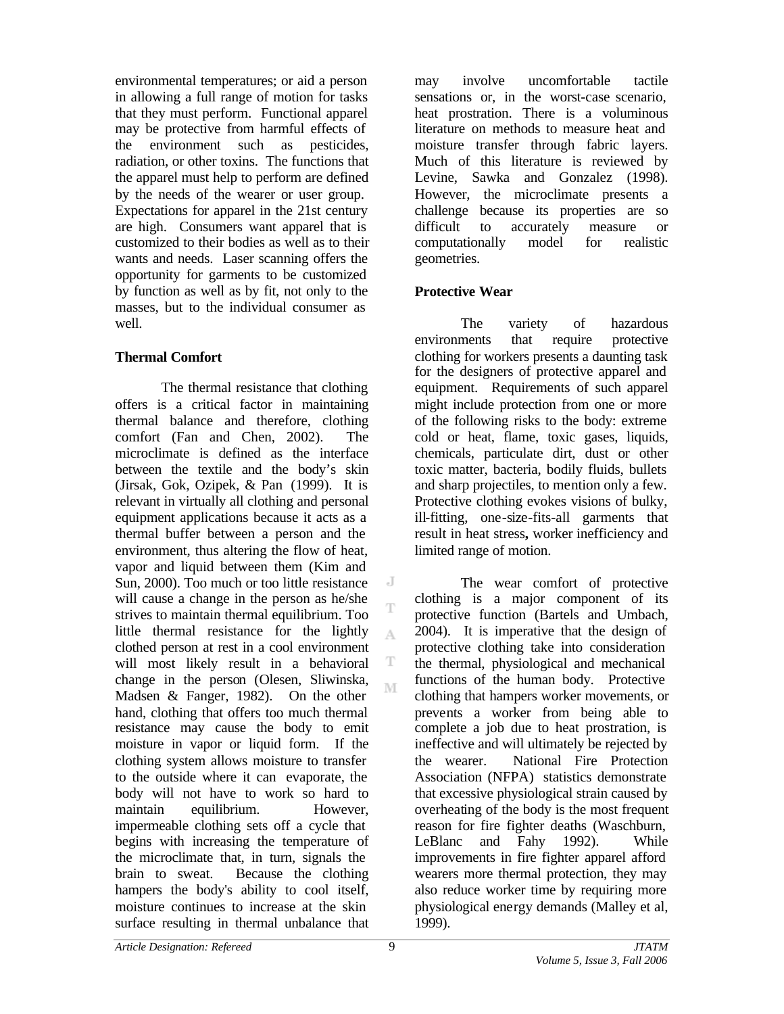environmental temperatures; or aid a person in allowing a full range of motion for tasks that they must perform. Functional apparel may be protective from harmful effects of the environment such as pesticides, radiation, or other toxins. The functions that the apparel must help to perform are defined by the needs of the wearer or user group. Expectations for apparel in the 21st century are high. Consumers want apparel that is customized to their bodies as well as to their wants and needs. Laser scanning offers the opportunity for garments to be customized by function as well as by fit, not only to the masses, but to the individual consumer as well.

## **Thermal Comfort**

The thermal resistance that clothing offers is a critical factor in maintaining thermal balance and therefore, clothing comfort (Fan and Chen, 2002). The microclimate is defined as the interface between the textile and the body's skin (Jirsak, Gok, Ozipek, & Pan (1999). It is relevant in virtually all clothing and personal equipment applications because it acts as a thermal buffer between a person and the environment, thus altering the flow of heat, vapor and liquid between them (Kim and Sun, 2000). Too much or too little resistance will cause a change in the person as he/she strives to maintain thermal equilibrium. Too little thermal resistance for the lightly clothed person at rest in a cool environment will most likely result in a behavioral change in the person (Olesen, Sliwinska, Madsen & Fanger, 1982). On the other hand, clothing that offers too much thermal resistance may cause the body to emit moisture in vapor or liquid form. If the clothing system allows moisture to transfer to the outside where it can evaporate, the body will not have to work so hard to maintain equilibrium. However, impermeable clothing sets off a cycle that begins with increasing the temperature of the microclimate that, in turn, signals the brain to sweat. Because the clothing hampers the body's ability to cool itself, moisture continues to increase at the skin surface resulting in thermal unbalance that

may involve uncomfortable tactile sensations or, in the worst-case scenario, heat prostration. There is a voluminous literature on methods to measure heat and moisture transfer through fabric layers. Much of this literature is reviewed by Levine, Sawka and Gonzalez (1998). However, the microclimate presents a challenge because its properties are so difficult to accurately measure or computationally model for realistic geometries.

## **Protective Wear**

The variety of hazardous environments that require protective clothing for workers presents a daunting task for the designers of protective apparel and equipment. Requirements of such apparel might include protection from one or more of the following risks to the body: extreme cold or heat, flame, toxic gases, liquids, chemicals, particulate dirt, dust or other toxic matter, bacteria, bodily fluids, bullets and sharp projectiles, to mention only a few. Protective clothing evokes visions of bulky, ill-fitting, one-size-fits-all garments that result in heat stress**,** worker inefficiency and limited range of motion.

The wear comfort of protective clothing is a major component of its protective function (Bartels and Umbach, 2004). It is imperative that the design of protective clothing take into consideration the thermal, physiological and mechanical functions of the human body. Protective clothing that hampers worker movements, or prevents a worker from being able to complete a job due to heat prostration, is ineffective and will ultimately be rejected by the wearer. National Fire Protection Association (NFPA) statistics demonstrate that excessive physiological strain caused by overheating of the body is the most frequent reason for fire fighter deaths (Waschburn, LeBlanc and Fahy 1992). While improvements in fire fighter apparel afford wearers more thermal protection, they may also reduce worker time by requiring more physiological energy demands (Malley et al, 1999).

J

T

A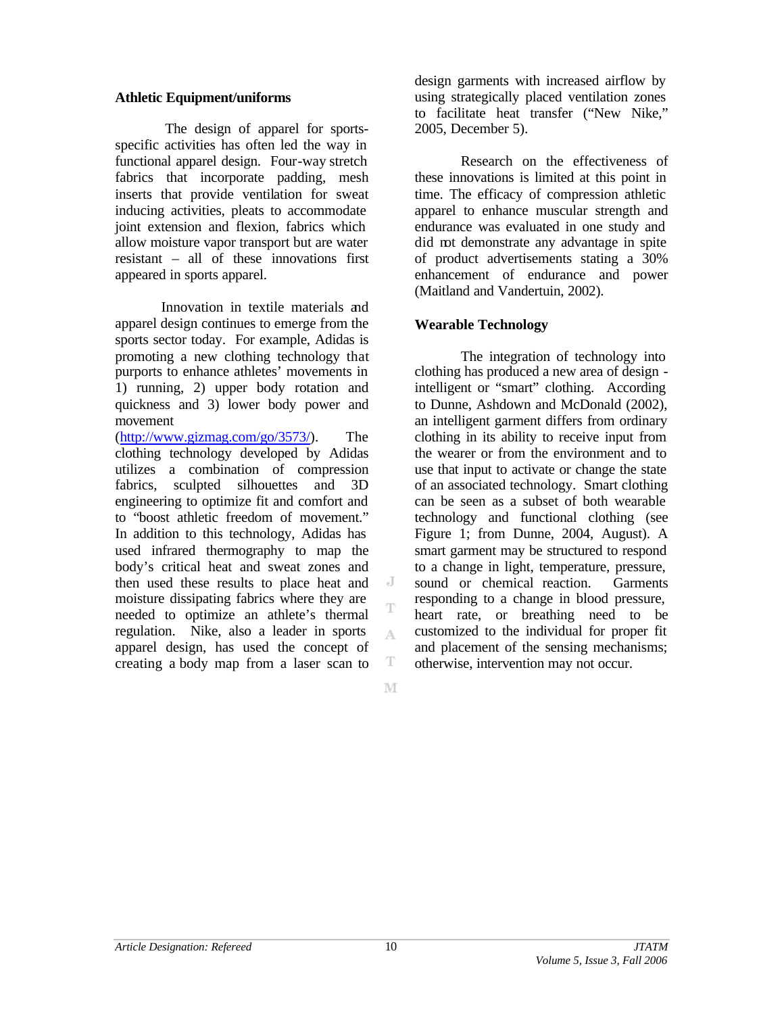### **Athletic Equipment/uniforms**

The design of apparel for sportsspecific activities has often led the way in functional apparel design. Four-way stretch fabrics that incorporate padding, mesh inserts that provide ventilation for sweat inducing activities, pleats to accommodate joint extension and flexion, fabrics which allow moisture vapor transport but are water resistant – all of these innovations first appeared in sports apparel.

Innovation in textile materials and apparel design continues to emerge from the sports sector today. For example, Adidas is promoting a new clothing technology that purports to enhance athletes' movements in 1) running, 2) upper body rotation and quickness and 3) lower body power and movement

(http://www.gizmag.com/go/3573/). The clothing technology developed by Adidas utilizes a combination of compression fabrics, sculpted silhouettes and 3D engineering to optimize fit and comfort and to "boost athletic freedom of movement." In addition to this technology, Adidas has used infrared thermography to map the body's critical heat and sweat zones and then used these results to place heat and moisture dissipating fabrics where they are needed to optimize an athlete's thermal regulation. Nike, also a leader in sports apparel design, has used the concept of creating a body map from a laser scan to

design garments with increased airflow by using strategically placed ventilation zones to facilitate heat transfer ("New Nike," 2005, December 5).

Research on the effectiveness of these innovations is limited at this point in time. The efficacy of compression athletic apparel to enhance muscular strength and endurance was evaluated in one study and did not demonstrate any advantage in spite of product advertisements stating a 30% enhancement of endurance and power (Maitland and Vandertuin, 2002).

#### **Wearable Technology**

The integration of technology into clothing has produced a new area of design intelligent or "smart" clothing. According to Dunne, Ashdown and McDonald (2002), an intelligent garment differs from ordinary clothing in its ability to receive input from the wearer or from the environment and to use that input to activate or change the state of an associated technology. Smart clothing can be seen as a subset of both wearable technology and functional clothing (see Figure 1; from Dunne, 2004, August). A smart garment may be structured to respond to a change in light, temperature, pressure, sound or chemical reaction. Garments responding to a change in blood pressure, heart rate, or breathing need to be customized to the individual for proper fit and placement of the sensing mechanisms; otherwise, intervention may not occur.

M

T

A.

 $\overline{a}$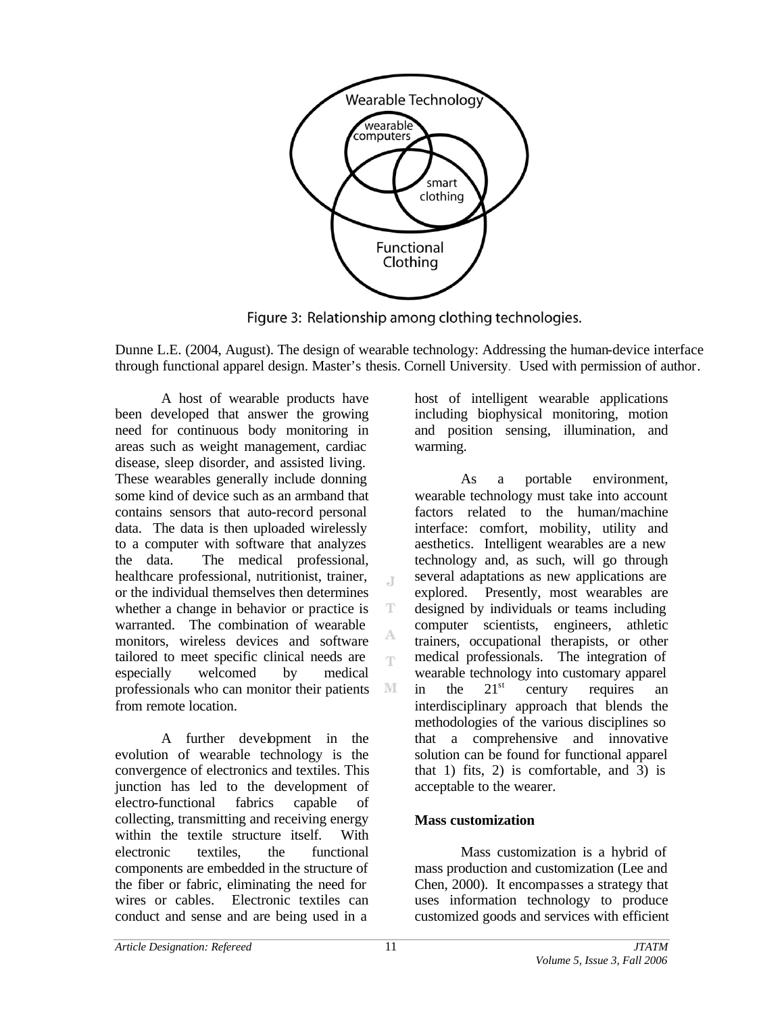

Figure 3: Relationship among clothing technologies.

Dunne L.E. (2004, August). The design of wearable technology: Addressing the human-device interface through functional apparel design. Master's thesis. Cornell University. Used with permission of author.

 $\mathbb{I}$ 

T

T

M

A host of wearable products have been developed that answer the growing need for continuous body monitoring in areas such as weight management, cardiac disease, sleep disorder, and assisted living. These wearables generally include donning some kind of device such as an armband that contains sensors that auto-record personal data. The data is then uploaded wirelessly to a computer with software that analyzes the data. The medical professional, healthcare professional, nutritionist, trainer, or the individual themselves then determines whether a change in behavior or practice is warranted. The combination of wearable monitors, wireless devices and software tailored to meet specific clinical needs are especially welcomed by medical professionals who can monitor their patients from remote location.

A further development in the evolution of wearable technology is the convergence of electronics and textiles. This junction has led to the development of electro-functional fabrics capable of collecting, transmitting and receiving energy within the textile structure itself. With electronic textiles, the functional components are embedded in the structure of the fiber or fabric, eliminating the need for wires or cables. Electronic textiles can conduct and sense and are being used in a

host of intelligent wearable applications including biophysical monitoring, motion and position sensing, illumination, and warming.

As a portable environment, wearable technology must take into account factors related to the human/machine interface: comfort, mobility, utility and aesthetics. Intelligent wearables are a new technology and, as such, will go through several adaptations as new applications are explored. Presently, most wearables are designed by individuals or teams including computer scientists, engineers, athletic trainers, occupational therapists, or other medical professionals. The integration of wearable technology into customary apparel in the  $21<sup>st</sup>$  century requires an interdisciplinary approach that blends the methodologies of the various disciplines so that a comprehensive and innovative solution can be found for functional apparel that 1) fits, 2) is comfortable, and  $\overline{3}$  is acceptable to the wearer.

## **Mass customization**

Mass customization is a hybrid of mass production and customization (Lee and Chen, 2000). It encompasses a strategy that uses information technology to produce customized goods and services with efficient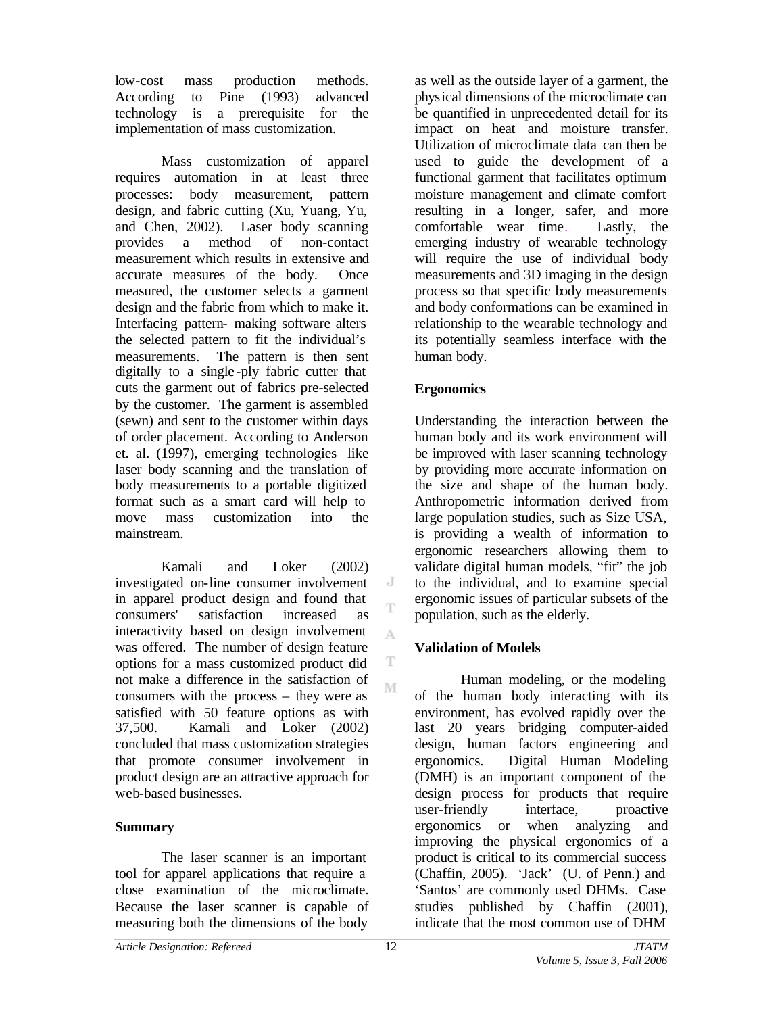low-cost mass production methods. According to Pine (1993) advanced technology is a prerequisite for the implementation of mass customization.

Mass customization of apparel requires automation in at least three processes: body measurement, pattern design, and fabric cutting (Xu, Yuang, Yu, and Chen, 2002). Laser body scanning provides a method of non-contact measurement which results in extensive and accurate measures of the body. Once measured, the customer selects a garment design and the fabric from which to make it. Interfacing pattern- making software alters the selected pattern to fit the individual's measurements. The pattern is then sent digitally to a single -ply fabric cutter that cuts the garment out of fabrics pre-selected by the customer. The garment is assembled (sewn) and sent to the customer within days of order placement. According to Anderson et. al. (1997), emerging technologies like laser body scanning and the translation of body measurements to a portable digitized format such as a smart card will help to move mass customization into the mainstream.

Kamali and Loker (2002) investigated on-line consumer involvement in apparel product design and found that consumers' satisfaction increased as interactivity based on design involvement was offered. The number of design feature options for a mass customized product did not make a difference in the satisfaction of consumers with the process – they were as satisfied with 50 feature options as with 37,500. Kamali and Loker (2002) concluded that mass customization strategies that promote consumer involvement in product design are an attractive approach for web-based businesses.

## **Summary**

The laser scanner is an important tool for apparel applications that require a close examination of the microclimate. Because the laser scanner is capable of measuring both the dimensions of the body

as well as the outside layer of a garment, the physical dimensions of the microclimate can be quantified in unprecedented detail for its impact on heat and moisture transfer. Utilization of microclimate data can then be used to guide the development of a functional garment that facilitates optimum moisture management and climate comfort resulting in a longer, safer, and more comfortable wear time. Lastly, the emerging industry of wearable technology will require the use of individual body measurements and 3D imaging in the design process so that specific body measurements and body conformations can be examined in relationship to the wearable technology and its potentially seamless interface with the human body.

## **Ergonomics**

Understanding the interaction between the human body and its work environment will be improved with laser scanning technology by providing more accurate information on the size and shape of the human body. Anthropometric information derived from large population studies, such as Size USA, is providing a wealth of information to ergonomic researchers allowing them to validate digital human models, "fit" the job to the individual, and to examine special ergonomic issues of particular subsets of the population, such as the elderly.

## **Validation of Models**

Human modeling, or the modeling of the human body interacting with its environment, has evolved rapidly over the last 20 years bridging computer-aided design, human factors engineering and ergonomics. Digital Human Modeling (DMH) is an important component of the design process for products that require user-friendly interface, proactive ergonomics or when analyzing and improving the physical ergonomics of a product is critical to its commercial success (Chaffin, 2005). 'Jack' (U. of Penn.) and 'Santos' are commonly used DHMs. Case studies published by Chaffin (2001), indicate that the most common use of DHM

J T

A

T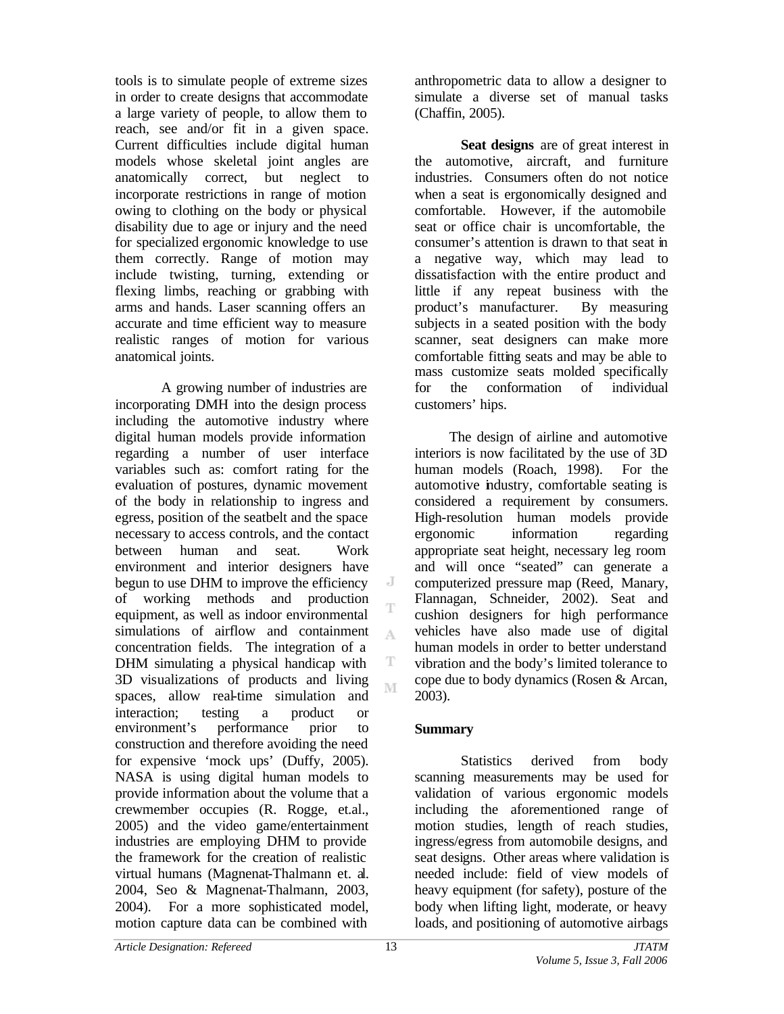tools is to simulate people of extreme sizes in order to create designs that accommodate a large variety of people, to allow them to reach, see and/or fit in a given space. Current difficulties include digital human models whose skeletal joint angles are anatomically correct, but neglect to incorporate restrictions in range of motion owing to clothing on the body or physical disability due to age or injury and the need for specialized ergonomic knowledge to use them correctly. Range of motion may include twisting, turning, extending or flexing limbs, reaching or grabbing with arms and hands. Laser scanning offers an accurate and time efficient way to measure realistic ranges of motion for various anatomical joints.

A growing number of industries are incorporating DMH into the design process including the automotive industry where digital human models provide information regarding a number of user interface variables such as: comfort rating for the evaluation of postures, dynamic movement of the body in relationship to ingress and egress, position of the seatbelt and the space necessary to access controls, and the contact between human and seat. Work environment and interior designers have begun to use DHM to improve the efficiency of working methods and production equipment, as well as indoor environmental simulations of airflow and containment concentration fields. The integration of a DHM simulating a physical handicap with 3D visualizations of products and living spaces, allow real-time simulation and interaction; testing a product or environment's performance prior to construction and therefore avoiding the need for expensive 'mock ups' (Duffy, 2005). NASA is using digital human models to provide information about the volume that a crewmember occupies (R. Rogge, et.al., 2005) and the video game/entertainment industries are employing DHM to provide the framework for the creation of realistic virtual humans (Magnenat-Thalmann et. al. 2004, Seo & Magnenat-Thalmann, 2003, 2004). For a more sophisticated model, motion capture data can be combined with

anthropometric data to allow a designer to simulate a diverse set of manual tasks (Chaffin, 2005).

**Seat designs** are of great interest in the automotive, aircraft, and furniture industries. Consumers often do not notice when a seat is ergonomically designed and comfortable. However, if the automobile seat or office chair is uncomfortable, the consumer's attention is drawn to that seat in a negative way, which may lead to dissatisfaction with the entire product and little if any repeat business with the product's manufacturer. By measuring subjects in a seated position with the body scanner, seat designers can make more comfortable fitting seats and may be able to mass customize seats molded specifically for the conformation of individual customers' hips.

The design of airline and automotive interiors is now facilitated by the use of 3D human models (Roach, 1998). For the automotive industry, comfortable seating is considered a requirement by consumers. High-resolution human models provide ergonomic information regarding appropriate seat height, necessary leg room and will once "seated" can generate a computerized pressure map (Reed, Manary, Flannagan, Schneider, 2002). Seat and cushion designers for high performance vehicles have also made use of digital human models in order to better understand vibration and the body's limited tolerance to cope due to body dynamics (Rosen & Arcan, 2003).

## **Summary**

Statistics derived from body scanning measurements may be used for validation of various ergonomic models including the aforementioned range of motion studies, length of reach studies, ingress/egress from automobile designs, and seat designs. Other areas where validation is needed include: field of view models of heavy equipment (for safety), posture of the body when lifting light, moderate, or heavy loads, and positioning of automotive airbags

J

A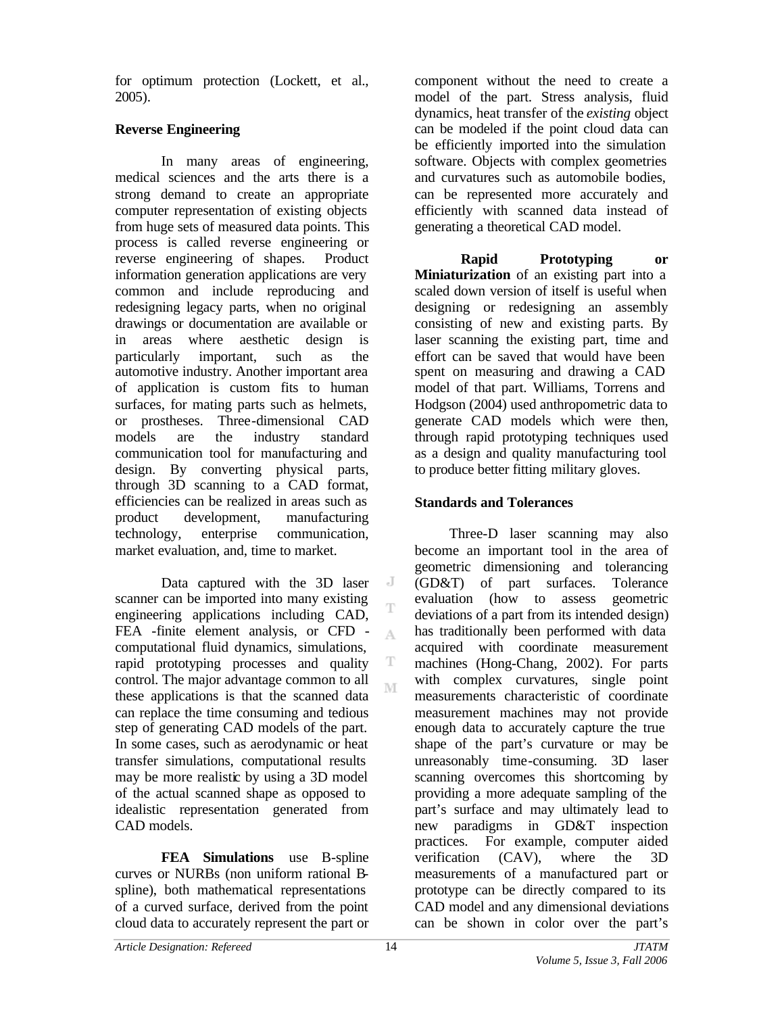for optimum protection (Lockett, et al., 2005).

## **Reverse Engineering**

In many areas of engineering, medical sciences and the arts there is a strong demand to create an appropriate computer representation of existing objects from huge sets of measured data points. This process is called reverse engineering or reverse engineering of shapes. Product information generation applications are very common and include reproducing and redesigning legacy parts, when no original drawings or documentation are available or in areas where aesthetic design is particularly important, such as the automotive industry. Another important area of application is custom fits to human surfaces, for mating parts such as helmets, or prostheses. Three-dimensional CAD models are the industry standard communication tool for manufacturing and design. By converting physical parts, through 3D scanning to a CAD format, efficiencies can be realized in areas such as product development, manufacturing technology, enterprise communication, market evaluation, and, time to market.

Data captured with the 3D laser scanner can be imported into many existing engineering applications including CAD, FEA -finite element analysis, or CFD computational fluid dynamics, simulations, rapid prototyping processes and quality control. The major advantage common to all these applications is that the scanned data can replace the time consuming and tedious step of generating CAD models of the part. In some cases, such as aerodynamic or heat transfer simulations, computational results may be more realistic by using a 3D model of the actual scanned shape as opposed to idealistic representation generated from CAD models.

**FEA Simulations** use B-spline curves or NURBs (non uniform rational Bspline), both mathematical representations of a curved surface, derived from the point cloud data to accurately represent the part or

component without the need to create a model of the part. Stress analysis, fluid dynamics, heat transfer of the *existing* object can be modeled if the point cloud data can be efficiently imported into the simulation software. Objects with complex geometries and curvatures such as automobile bodies, can be represented more accurately and efficiently with scanned data instead of generating a theoretical CAD model.

**Rapid Prototyping or Miniaturization** of an existing part into a scaled down version of itself is useful when designing or redesigning an assembly consisting of new and existing parts. By laser scanning the existing part, time and effort can be saved that would have been spent on measuring and drawing a CAD model of that part. Williams, Torrens and Hodgson (2004) used anthropometric data to generate CAD models which were then, through rapid prototyping techniques used as a design and quality manufacturing tool to produce better fitting military gloves.

## **Standards and Tolerances**

Three-D laser scanning may also become an important tool in the area of geometric dimensioning and tolerancing (GD&T) of part surfaces. Tolerance evaluation (how to assess geometric deviations of a part from its intended design) has traditionally been performed with data acquired with coordinate measurement machines (Hong-Chang, 2002). For parts with complex curvatures, single point measurements characteristic of coordinate measurement machines may not provide enough data to accurately capture the true shape of the part's curvature or may be unreasonably time-consuming. 3D laser scanning overcomes this shortcoming by providing a more adequate sampling of the part's surface and may ultimately lead to new paradigms in GD&T inspection practices. For example, computer aided verification (CAV), where the 3D measurements of a manufactured part or prototype can be directly compared to its CAD model and any dimensional deviations can be shown in color over the part's

J

A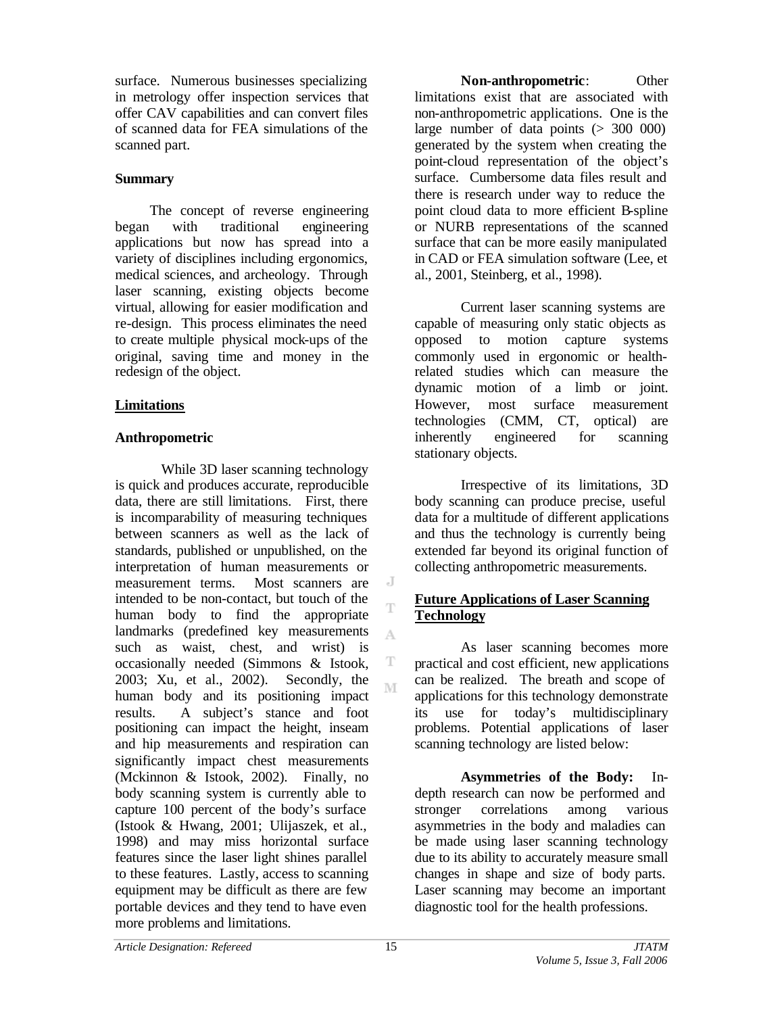surface. Numerous businesses specializing in metrology offer inspection services that offer CAV capabilities and can convert files of scanned data for FEA simulations of the scanned part.

### **Summary**

The concept of reverse engineering began with traditional engineering applications but now has spread into a variety of disciplines including ergonomics, medical sciences, and archeology. Through laser scanning, existing objects become virtual, allowing for easier modification and re-design. This process eliminates the need to create multiple physical mock-ups of the original, saving time and money in the redesign of the object.

## **Limitations**

## **Anthropometric**

While 3D laser scanning technology is quick and produces accurate, reproducible data, there are still limitations. First, there is incomparability of measuring techniques between scanners as well as the lack of standards, published or unpublished, on the interpretation of human measurements or measurement terms. Most scanners are intended to be non-contact, but touch of the human body to find the appropriate landmarks (predefined key measurements such as waist, chest, and wrist) is occasionally needed (Simmons & Istook, 2003; Xu, et al., 2002). Secondly, the human body and its positioning impact results. A subject's stance and foot positioning can impact the height, inseam and hip measurements and respiration can significantly impact chest measurements (Mckinnon & Istook, 2002). Finally, no body scanning system is currently able to capture 100 percent of the body's surface (Istook & Hwang, 2001; Ulijaszek, et al., 1998) and may miss horizontal surface features since the laser light shines parallel to these features. Lastly, access to scanning equipment may be difficult as there are few portable devices and they tend to have even more problems and limitations.

**Non-anthropometric**: Other limitations exist that are associated with non-anthropometric applications. One is the large number of data points  $(> 300 000)$ generated by the system when creating the point-cloud representation of the object's surface. Cumbersome data files result and there is research under way to reduce the point cloud data to more efficient B-spline or NURB representations of the scanned surface that can be more easily manipulated in CAD or FEA simulation software (Lee, et al., 2001, Steinberg, et al., 1998).

Current laser scanning systems are capable of measuring only static objects as opposed to motion capture systems commonly used in ergonomic or healthrelated studies which can measure the dynamic motion of a limb or joint. However, most surface measurement technologies (CMM, CT, optical) are inherently engineered for scanning stationary objects.

Irrespective of its limitations, 3D body scanning can produce precise, useful data for a multitude of different applications and thus the technology is currently being extended far beyond its original function of collecting anthropometric measurements.

## **Future Applications of Laser Scanning Technology**

As laser scanning becomes more practical and cost efficient, new applications can be realized. The breath and scope of applications for this technology demonstrate its use for today's multidisciplinary problems. Potential applications of laser scanning technology are listed below:

**Asymmetries of the Body:** Indepth research can now be performed and stronger correlations among various asymmetries in the body and maladies can be made using laser scanning technology due to its ability to accurately measure small changes in shape and size of body parts. Laser scanning may become an important diagnostic tool for the health professions.

J

A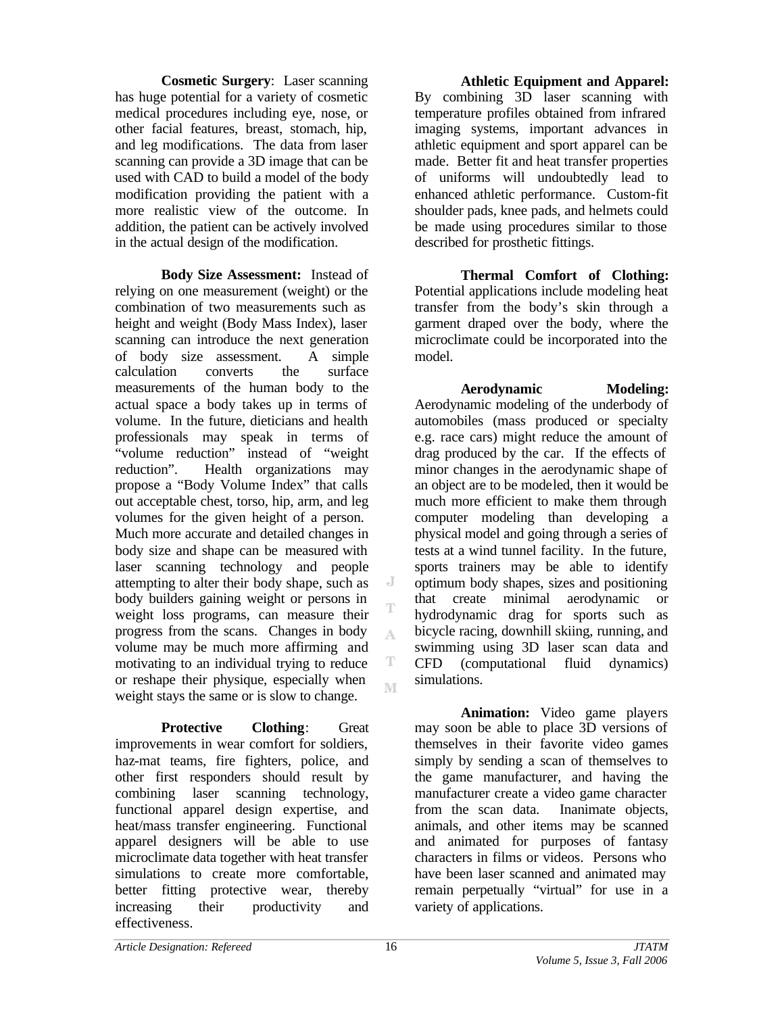**Cosmetic Surgery**: Laser scanning has huge potential for a variety of cosmetic medical procedures including eye, nose, or other facial features, breast, stomach, hip, and leg modifications. The data from laser scanning can provide a 3D image that can be used with CAD to build a model of the body modification providing the patient with a more realistic view of the outcome. In addition, the patient can be actively involved in the actual design of the modification.

**Body Size Assessment:** Instead of relying on one measurement (weight) or the combination of two measurements such as height and weight (Body Mass Index), laser scanning can introduce the next generation of body size assessment. A simple calculation converts the surface measurements of the human body to the actual space a body takes up in terms of volume. In the future, dieticians and health professionals may speak in terms of "volume reduction" instead of "weight reduction". Health organizations may propose a "Body Volume Index" that calls out acceptable chest, torso, hip, arm, and leg volumes for the given height of a person. Much more accurate and detailed changes in body size and shape can be measured with laser scanning technology and people attempting to alter their body shape, such as body builders gaining weight or persons in weight loss programs, can measure their progress from the scans. Changes in body volume may be much more affirming and motivating to an individual trying to reduce or reshape their physique, especially when weight stays the same or is slow to change.

**Protective Clothing**: Great improvements in wear comfort for soldiers, haz-mat teams, fire fighters, police, and other first responders should result by combining laser scanning technology, functional apparel design expertise, and heat/mass transfer engineering. Functional apparel designers will be able to use microclimate data together with heat transfer simulations to create more comfortable, better fitting protective wear, thereby increasing their productivity and effectiveness.

**Athletic Equipment and Apparel:** By combining 3D laser scanning with temperature profiles obtained from infrared imaging systems, important advances in athletic equipment and sport apparel can be made. Better fit and heat transfer properties of uniforms will undoubtedly lead to enhanced athletic performance. Custom-fit shoulder pads, knee pads, and helmets could be made using procedures similar to those described for prosthetic fittings.

**Thermal Comfort of Clothing:** Potential applications include modeling heat transfer from the body's skin through a garment draped over the body, where the microclimate could be incorporated into the model.

**Aerodynamic Modeling:** Aerodynamic modeling of the underbody of automobiles (mass produced or specialty e.g. race cars) might reduce the amount of drag produced by the car. If the effects of minor changes in the aerodynamic shape of an object are to be modeled, then it would be much more efficient to make them through computer modeling than developing a physical model and going through a series of tests at a wind tunnel facility. In the future, sports trainers may be able to identify optimum body shapes, sizes and positioning that create minimal aerodynamic or hydrodynamic drag for sports such as bicycle racing, downhill skiing, running, and swimming using 3D laser scan data and CFD (computational fluid dynamics) simulations.

**Animation:** Video game players may soon be able to place 3D versions of themselves in their favorite video games simply by sending a scan of themselves to the game manufacturer, and having the manufacturer create a video game character from the scan data. Inanimate objects, animals, and other items may be scanned and animated for purposes of fantasy characters in films or videos. Persons who have been laser scanned and animated may remain perpetually "virtual" for use in a variety of applications.

 $\overline{A}$ 

A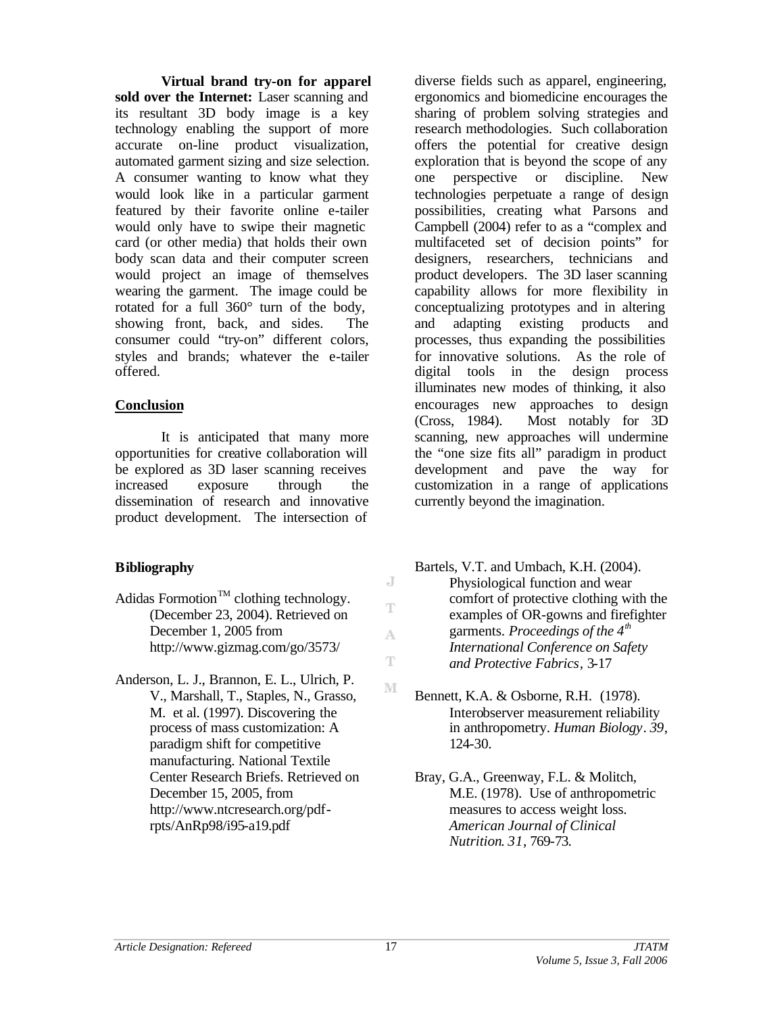**Virtual brand try-on for apparel sold over the Internet:** Laser scanning and its resultant 3D body image is a key technology enabling the support of more accurate on-line product visualization, automated garment sizing and size selection. A consumer wanting to know what they would look like in a particular garment featured by their favorite online e-tailer would only have to swipe their magnetic card (or other media) that holds their own body scan data and their computer screen would project an image of themselves wearing the garment. The image could be rotated for a full 360° turn of the body, showing front, back, and sides. The consumer could "try-on" different colors, styles and brands; whatever the e-tailer offered.

## **Conclusion**

It is anticipated that many more opportunities for creative collaboration will be explored as 3D laser scanning receives increased exposure through the dissemination of research and innovative product development. The intersection of

## **Bibliography**

- Adidas Formotion<sup>TM</sup> clothing technology. (December 23, 2004). Retrieved on December 1, 2005 from http://www.gizmag.com/go/3573/
- Anderson, L. J., Brannon, E. L., Ulrich, P. V., Marshall, T., Staples, N., Grasso, M. et al. (1997). Discovering the process of mass customization: A paradigm shift for competitive manufacturing. National Textile Center Research Briefs. Retrieved on December 15, 2005, from http://www.ntcresearch.org/pdfrpts/AnRp98/i95-a19.pdf

diverse fields such as apparel, engineering, ergonomics and biomedicine encourages the sharing of problem solving strategies and research methodologies. Such collaboration offers the potential for creative design exploration that is beyond the scope of any one perspective or discipline. New technologies perpetuate a range of design possibilities, creating what Parsons and Campbell (2004) refer to as a "complex and multifaceted set of decision points" for designers, researchers, technicians and product developers. The 3D laser scanning capability allows for more flexibility in conceptualizing prototypes and in altering and adapting existing products and processes, thus expanding the possibilities for innovative solutions. As the role of digital tools in the design process illuminates new modes of thinking, it also encourages new approaches to design (Cross, 1984). Most notably for 3D scanning, new approaches will undermine the "one size fits all" paradigm in product development and pave the way for customization in a range of applications currently beyond the imagination.

- Bartels, V.T. and Umbach, K.H. (2004). Physiological function and wear comfort of protective clothing with the examples of OR-gowns and firefighter garments. *Proceedings of the 4th International Conference on Safety and Protective Fabrics*, 3-17
- Bennett, K.A. & Osborne, R.H. (1978). Interobserver measurement reliability in anthropometry. *Human Biology*. *39*, 124-30.
- Bray, G.A., Greenway, F.L. & Molitch, M.E. (1978). Use of anthropometric measures to access weight loss. *American Journal of Clinical Nutrition*. *31*, 769-73.

J T

A Ŧ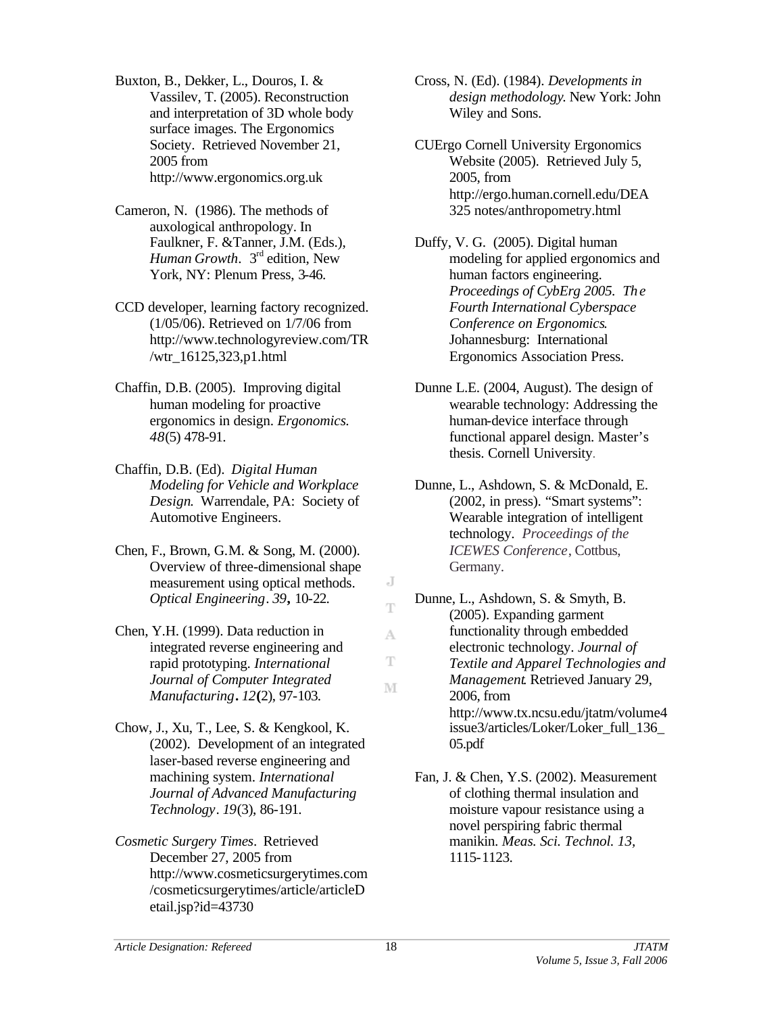Buxton, B., Dekker, L., Douros, I. & Vassilev, T. (2005). Reconstruction and interpretation of 3D whole body surface images. The Ergonomics Society. Retrieved November 21, 2005 from http://www.ergonomics.org.uk

- Cameron, N. (1986). The methods of auxological anthropology. In Faulkner, F. &Tanner, J.M. (Eds.), *Human Growth.* 3<sup>rd</sup> edition, New York, NY: Plenum Press, 3-46.
- CCD developer, learning factory recognized. (1/05/06). Retrieved on 1/7/06 from http://www.technologyreview.com/TR /wtr\_16125,323,p1.html
- Chaffin, D.B. (2005). Improving digital human modeling for proactive ergonomics in design. *Ergonomics. 48*(5) 478-91.
- Chaffin, D.B. (Ed). *Digital Human Modeling for Vehicle and Workplace Design*. Warrendale, PA: Society of Automotive Engineers.
- Chen, F., Brown, G.M. & Song, M. (2000). Overview of three-dimensional shape measurement using optical methods. *Optical Engineering*. *39***,** 10-22.
- Chen, Y.H. (1999). Data reduction in integrated reverse engineering and rapid prototyping. *International Journal of Computer Integrated Manufacturing***.** *12***(**2), 97-103.
- Chow, J., Xu, T., Lee, S. & Kengkool, K. (2002). Development of an integrated laser-based reverse engineering and machining system. *International Journal of Advanced Manufacturing Technology*. *19*(3), 86-191.
- *Cosmetic Surgery Times*. Retrieved December 27, 2005 from http://www.cosmeticsurgerytimes.com /cosmeticsurgerytimes/article/articleD etail.jsp?id=43730

Cross, N. (Ed). (1984). *Developments in design methodology*. New York: John Wiley and Sons.

- CUErgo Cornell University Ergonomics Website (2005). Retrieved July 5, 2005, from http://ergo.human.cornell.edu/DEA 325 notes/anthropometry.html
- Duffy, V. G. (2005). Digital human modeling for applied ergonomics and human factors engineering. *Proceedings of CybErg 2005. The Fourth International Cyberspace Conference on Ergonomics*. Johannesburg: International Ergonomics Association Press.
- Dunne L.E. (2004, August). The design of wearable technology: Addressing the human-device interface through functional apparel design. Master's thesis. Cornell University.
- Dunne, L., Ashdown, S. & McDonald, E. (2002, in press). "Smart systems": Wearable integration of intelligent technology. *Proceedings of the ICEWES Conference*, Cottbus, Germany.
- Dunne, L., Ashdown, S. & Smyth, B. (2005). Expanding garment functionality through embedded electronic technology. *Journal of Textile and Apparel Technologies and Management*. Retrieved January 29, 2006, from http://www.tx.ncsu.edu/jtatm/volume4 issue3/articles/Loker/Loker\_full\_136\_ 05.pdf
- Fan, J. & Chen, Y.S. (2002). Measurement of clothing thermal insulation and moisture vapour resistance using a novel perspiring fabric thermal manikin. *Meas. Sci. Technol. 13,* 1115-1123.

J T

A T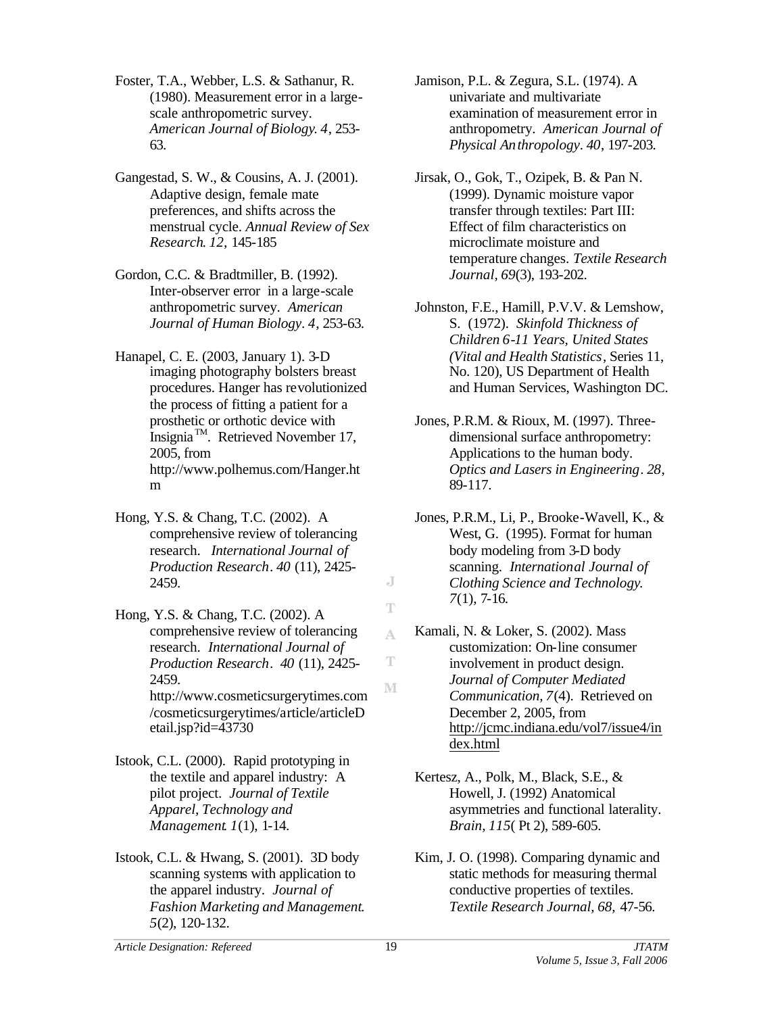Foster, T.A., Webber, L.S. & Sathanur, R. (1980). Measurement error in a largescale anthropometric survey. *American Journal of Biology*. *4*, 253- 63.

- Gangestad, S. W., & Cousins, A. J. (2001). Adaptive design, female mate preferences, and shifts across the menstrual cycle. *Annual Review of Sex Research*. *12,* 145-185
- Gordon, C.C. & Bradtmiller, B. (1992). Inter-observer error in a large-scale anthropometric survey. *American Journal of Human Biology*. *4*, 253-63.
- Hanapel, C. E. (2003, January 1). 3-D imaging photography bolsters breast procedures. Hanger has revolutionized the process of fitting a patient for a prosthetic or orthotic device with Insignia<sup>TM</sup>. Retrieved November 17, 2005, from http://www.polhemus.com/Hanger.ht m
- Hong, Y.S. & Chang, T.C. (2002). A comprehensive review of tolerancing research. *International Journal of Production Research*. *40* (11), 2425- 2459.
- Hong, Y.S. & Chang, T.C. (2002). A comprehensive review of tolerancing research. *International Journal of Production Research*. *40* (11), 2425- 2459. http://www.cosmeticsurgerytimes.com /cosmeticsurgerytimes/article/articleD etail.jsp?id=43730
- Istook, C.L. (2000). Rapid prototyping in the textile and apparel industry: A pilot project. *Journal of Textile Apparel, Technology and Management*. *1*(1), 1-14.
- Istook, C.L. & Hwang, S. (2001). 3D body scanning systems with application to the apparel industry. *Journal of Fashion Marketing and Management*. *5*(2), 120-132.

Jamison, P.L. & Zegura, S.L. (1974). A univariate and multivariate examination of measurement error in anthropometry. *American Journal of Physical Anthropology*. *40*, 197-203.

- Jirsak, O., Gok, T., Ozipek, B. & Pan N. (1999). Dynamic moisture vapor transfer through textiles: Part III: Effect of film characteristics on microclimate moisture and temperature changes. *Textile Research Journal, 69*(3), 193-202.
- Johnston, F.E., Hamill, P.V.V. & Lemshow, S. (1972). *Skinfold Thickness of Children 6-11 Years, United States (Vital and Health Statistics*, Series 11, No. 120), US Department of Health and Human Services, Washington DC.
- Jones, P.R.M. & Rioux, M. (1997). Threedimensional surface anthropometry: Applications to the human body. *Optics and Lasers in Engineering*. *28*, 89-117.
- Jones, P.R.M., Li, P., Brooke-Wavell, K., & West, G. (1995). Format for human body modeling from 3-D body scanning. *International Journal of Clothing Science and Technology*. *7*(1), 7-16.
- Kamali, N. & Loker, S. (2002). Mass customization: On-line consumer involvement in product design. *Journal of Computer Mediated Communication, 7*(4). Retrieved on December 2, 2005, from http://jcmc.indiana.edu/vol7/issue4/in dex.html
- Kertesz, A., Polk, M., Black, S.E., & Howell, J. (1992) Anatomical asymmetries and functional laterality. *Brain, 115*( Pt 2), 589-605.
- Kim, J. O. (1998). Comparing dynamic and static methods for measuring thermal conductive properties of textiles. *Textile Research Journal, 68,* 47-56.

J T

A

T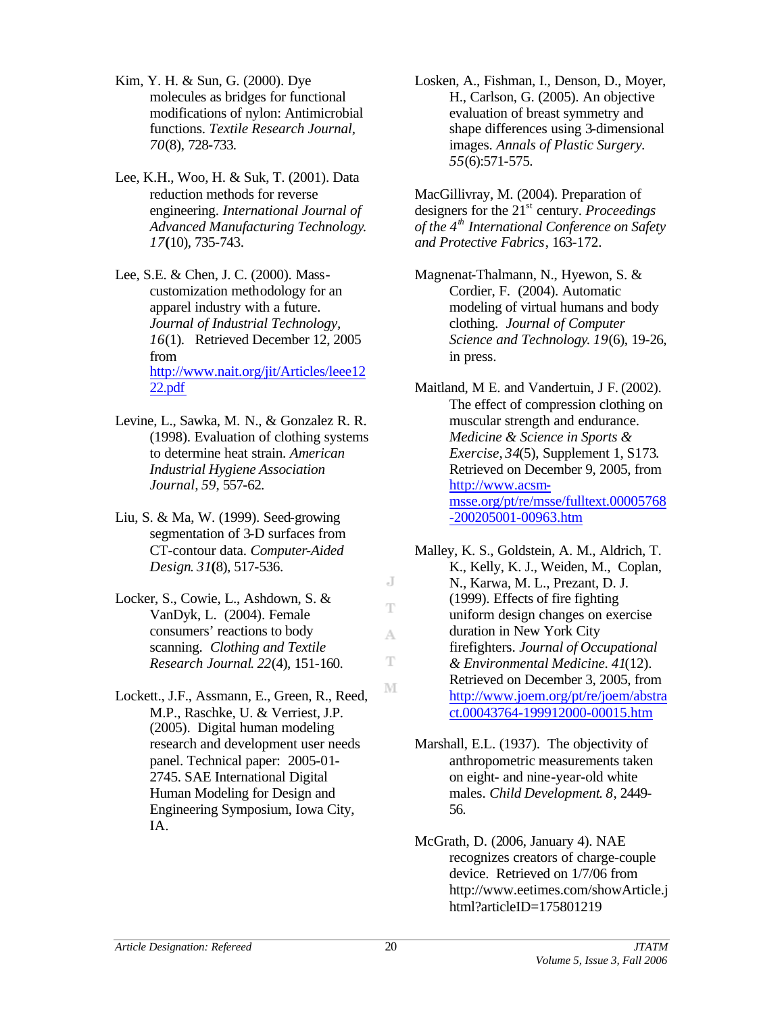- Kim, Y. H. & Sun, G. (2000). Dye molecules as bridges for functional modifications of nylon: Antimicrobial functions. *Textile Research Journal, 70*(8), 728-733.
- Lee, K.H., Woo, H. & Suk, T. (2001). Data reduction methods for reverse engineering. *International Journal of Advanced Manufacturing Technology*. *17***(**10), 735-743.
- Lee, S.E. & Chen, J. C. (2000). Masscustomization methodology for an apparel industry with a future. *Journal of Industrial Technology, 16*(1). Retrieved December 12, 2005 from http://www.nait.org/jit/Articles/leee12 22.pdf
- Levine, L., Sawka, M. N., & Gonzalez R. R. (1998). Evaluation of clothing systems to determine heat strain. *American Industrial Hygiene Association Journal, 59*, 557-62.
- Liu, S. & Ma, W. (1999). Seed-growing segmentation of 3-D surfaces from CT-contour data. *Computer-Aided Design*. *31***(**8), 517-536.
- Locker, S., Cowie, L., Ashdown, S. & VanDyk, L. (2004). Female consumers' reactions to body scanning. *Clothing and Textile Research Journal*. *22*(4), 151-160.
- Lockett., J.F., Assmann, E., Green, R., Reed, M.P., Raschke, U. & Verriest, J.P. (2005). Digital human modeling research and development user needs panel. Technical paper: 2005-01- 2745. SAE International Digital Human Modeling for Design and Engineering Symposium, Iowa City, IA.

Losken, A., Fishman, I., Denson, D., Moyer, H., Carlson, G. (2005). An objective evaluation of breast symmetry and shape differences using 3-dimensional images. *Annals of Plastic Surgery. 55*(6):571-575.

MacGillivray, M. (2004). Preparation of designers for the 21st century. *Proceedings of the 4th International Conference on Safety and Protective Fabrics*, 163-172.

Magnenat-Thalmann, N., Hyewon, S. & Cordier, F. (2004). Automatic modeling of virtual humans and body clothing. *Journal of Computer Science and Technology*. *19*(6), 19-26, in press.

Maitland, M E. and Vandertuin, J F. (2002). The effect of compression clothing on muscular strength and endurance. *Medicine & Science in Sports & Exercise*, *34*(5), Supplement 1, S173. Retrieved on December 9, 2005, from http://www.acsmmsse.org/pt/re/msse/fulltext.00005768 -200205001-00963.htm

- Malley, K. S., Goldstein, A. M., Aldrich, T. K., Kelly, K. J., Weiden, M., Coplan, N., Karwa, M. L., Prezant, D. J. (1999). Effects of fire fighting uniform design changes on exercise duration in New York City firefighters. *Journal of Occupational & Environmental Medicine. 41*(12). Retrieved on December 3, 2005, from http://www.joem.org/pt/re/joem/abstra ct.00043764-199912000-00015.htm
- Marshall, E.L. (1937). The objectivity of anthropometric measurements taken on eight- and nine-year-old white males. *Child Development*. *8*, 2449- 56.
- McGrath, D. (2006, January 4). NAE recognizes creators of charge-couple device. Retrieved on 1/7/06 from http://www.eetimes.com/showArticle.j html?articleID=175801219

J T

A T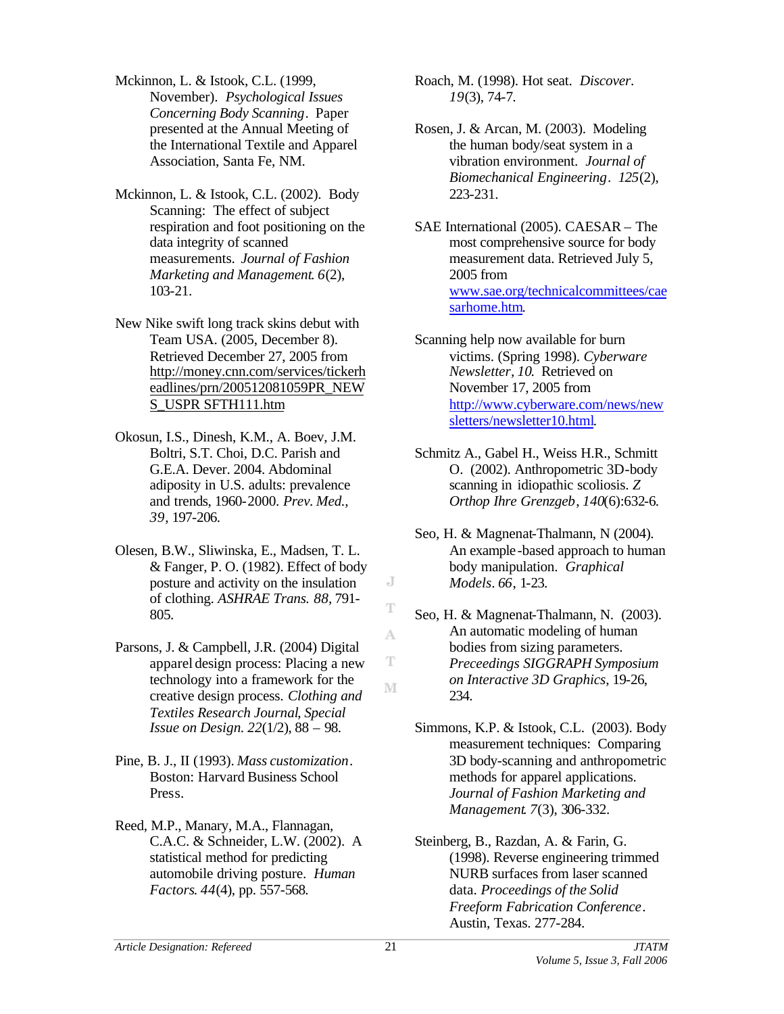- Mckinnon, L. & Istook, C.L. (1999, November). *Psychological Issues Concerning Body Scanning*. Paper presented at the Annual Meeting of the International Textile and Apparel Association, Santa Fe, NM.
- Mckinnon, L. & Istook, C.L. (2002). Body Scanning: The effect of subject respiration and foot positioning on the data integrity of scanned measurements. *Journal of Fashion Marketing and Management*. *6*(2), 103-21.
- New Nike swift long track skins debut with Team USA. (2005, December 8). Retrieved December 27, 2005 from http://money.cnn.com/services/tickerh eadlines/prn/200512081059PR\_NEW S\_USPR SFTH111.htm
- Okosun, I.S., Dinesh, K.M., A. Boev, J.M. Boltri, S.T. Choi, D.C. Parish and G.E.A. Dever. 2004. Abdominal adiposity in U.S. adults: prevalence and trends, 1960-2000. *Prev. Med., 39*, 197-206.
- Olesen, B.W., Sliwinska, E., Madsen, T. L. & Fanger, P. O. (1982). Effect of body posture and activity on the insulation of clothing. *ASHRAE Trans. 88,* 791- 805.
- Parsons, J. & Campbell, J.R. (2004) Digital apparel design process: Placing a new technology into a framework for the creative design process. *Clothing and Textiles Research Journal*, *Special Issue on Design. 22*(1/2), 88 – 98.
- Pine, B. J., II (1993). *Mass customization*. Boston: Harvard Business School Press.
- Reed, M.P., Manary, M.A., Flannagan, C.A.C. & Schneider, L.W. (2002). A statistical method for predicting automobile driving posture. *Human Factors*. *44*(4), pp. 557-568.
- Roach, M. (1998). Hot seat. *Discover*. *19*(3), 74-7.
- Rosen, J. & Arcan, M. (2003). Modeling the human body/seat system in a vibration environment. *Journal of Biomechanical Engineering*. *125*(2), 223-231.
- SAE International (2005). CAESAR The most comprehensive source for body measurement data. Retrieved July 5, 2005 from www.sae.org/technicalcommittees/cae sarhome.htm.
- Scanning help now available for burn victims. (Spring 1998). *Cyberware Newsletter, 10*. Retrieved on November 17, 2005 from http://www.cyberware.com/news/new sletters/newsletter10.html.
- Schmitz A., Gabel H., Weiss H.R., Schmitt O. (2002). Anthropometric 3D-body scanning in idiopathic scoliosis. *Z Orthop Ihre Grenzgeb*, *140*(6):632-6.
- Seo, H. & Magnenat-Thalmann, N (2004). An example-based approach to human body manipulation. *Graphical Models*. *66*, 1-23.
- Seo, H. & Magnenat-Thalmann, N. (2003). An automatic modeling of human bodies from sizing parameters. *Preceedings SIGGRAPH Symposium on Interactive 3D Graphics*, 19-26, 234.
- Simmons, K.P. & Istook, C.L. (2003). Body measurement techniques: Comparing 3D body-scanning and anthropometric methods for apparel applications. *Journal of Fashion Marketing and Management*. *7*(3), 306-332.
- Steinberg, B., Razdan, A. & Farin, G. (1998). Reverse engineering trimmed NURB surfaces from laser scanned data. *Proceedings of the Solid Freeform Fabrication Conference*. Austin, Texas. 277-284.

J T

A

T